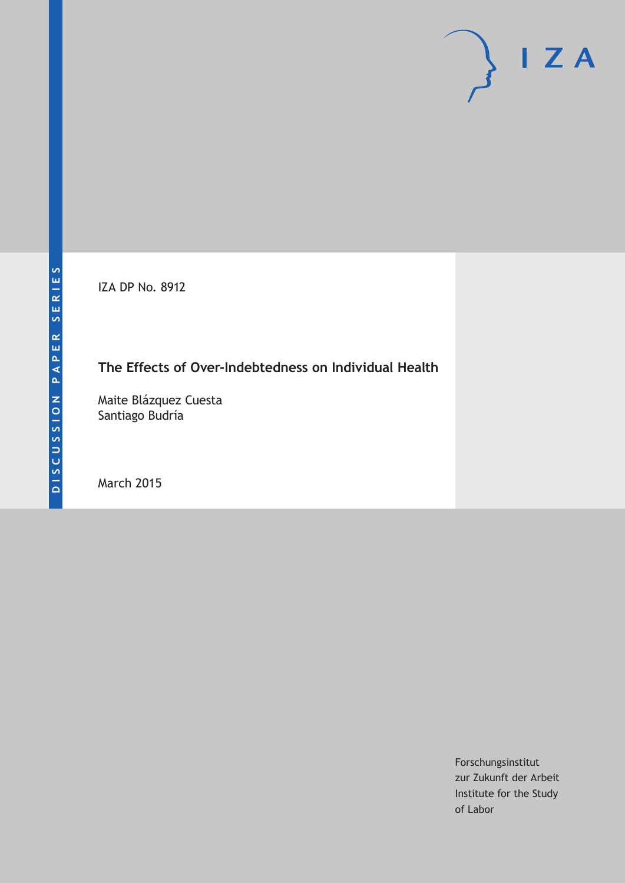IZA DP No. 8912

# **The Effects of Over-Indebtedness on Individual Health**

Maite Blázquez Cuesta Santiago Budría

March 2015

Forschungsinstitut zur Zukunft der Arbeit Institute for the Study of Labor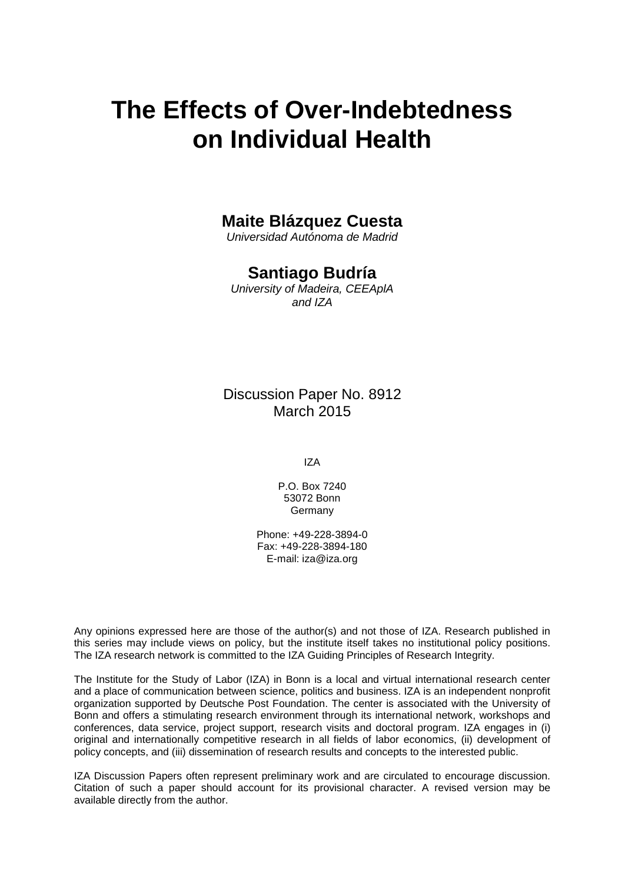# **The Effects of Over-Indebtedness on Individual Health**

# **Maite Blázquez Cuesta**

*Universidad Autónoma de Madrid*

# **Santiago Budría**

*University of Madeira, CEEAplA and IZA*

Discussion Paper No. 8912 March 2015

IZA

P.O. Box 7240 53072 Bonn **Germany** 

Phone: +49-228-3894-0 Fax: +49-228-3894-180 E-mail: iza@iza.org

Any opinions expressed here are those of the author(s) and not those of IZA. Research published in this series may include views on policy, but the institute itself takes no institutional policy positions. The IZA research network is committed to the IZA Guiding Principles of Research Integrity.

The Institute for the Study of Labor (IZA) in Bonn is a local and virtual international research center and a place of communication between science, politics and business. IZA is an independent nonprofit organization supported by Deutsche Post Foundation. The center is associated with the University of Bonn and offers a stimulating research environment through its international network, workshops and conferences, data service, project support, research visits and doctoral program. IZA engages in (i) original and internationally competitive research in all fields of labor economics, (ii) development of policy concepts, and (iii) dissemination of research results and concepts to the interested public.

<span id="page-1-0"></span>IZA Discussion Papers often represent preliminary work and are circulated to encourage discussion. Citation of such a paper should account for its provisional character. A revised version may be available directly from the author.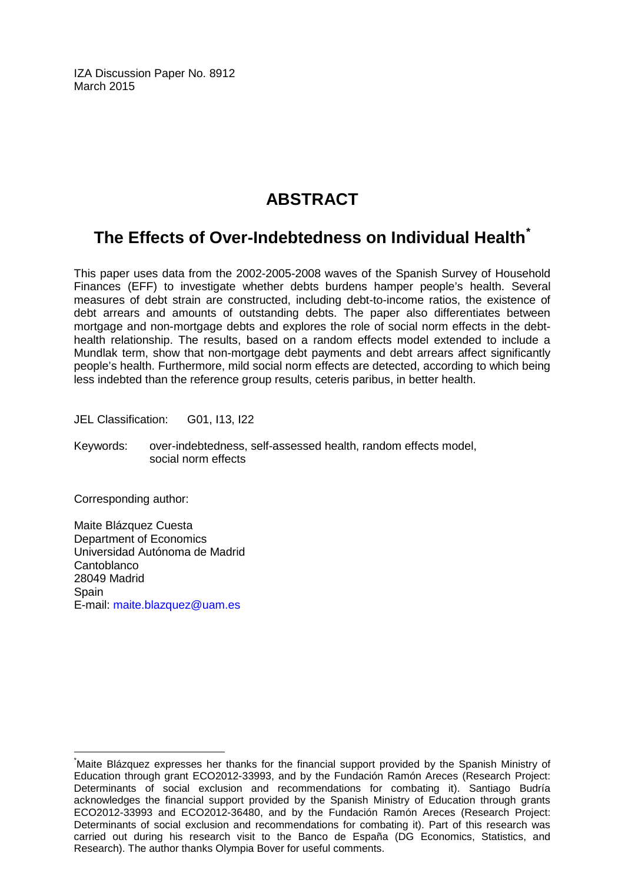IZA Discussion Paper No. 8912 March 2015

# **ABSTRACT**

# **The Effects of Over-Indebtedness on Individual Health[\\*](#page-1-0)**

This paper uses data from the 2002-2005-2008 waves of the Spanish Survey of Household Finances (EFF) to investigate whether debts burdens hamper people's health. Several measures of debt strain are constructed, including debt-to-income ratios, the existence of debt arrears and amounts of outstanding debts. The paper also differentiates between mortgage and non-mortgage debts and explores the role of social norm effects in the debthealth relationship. The results, based on a random effects model extended to include a Mundlak term, show that non-mortgage debt payments and debt arrears affect significantly people's health. Furthermore, mild social norm effects are detected, according to which being less indebted than the reference group results, ceteris paribus, in better health.

JEL Classification: G01, I13, I22

Keywords: over-indebtedness, self-assessed health, random effects model, social norm effects

Corresponding author:

Maite Blázquez Cuesta Department of Economics Universidad Autónoma de Madrid **Cantoblanco** 28049 Madrid **Spain** E-mail: [maite.blazquez@uam.es](mailto:maite.blazquez@uam.es)

\* Maite Blázquez expresses her thanks for the financial support provided by the Spanish Ministry of Education through grant ECO2012-33993, and by the Fundación Ramón Areces (Research Project: Determinants of social exclusion and recommendations for combating it). Santiago Budría acknowledges the financial support provided by the Spanish Ministry of Education through grants ECO2012-33993 and ECO2012-36480, and by the Fundación Ramón Areces (Research Project: Determinants of social exclusion and recommendations for combating it). Part of this research was carried out during his research visit to the Banco de España (DG Economics, Statistics, and Research). The author thanks Olympia Bover for useful comments.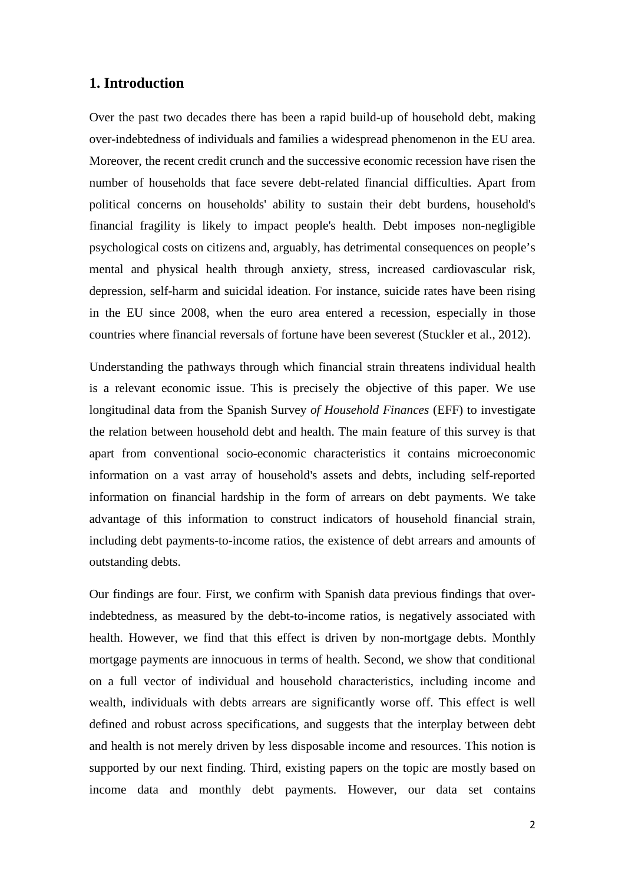### **1. Introduction**

Over the past two decades there has been a rapid build-up of household debt, making over-indebtedness of individuals and families a widespread phenomenon in the EU area. Moreover, the recent credit crunch and the successive economic recession have risen the number of households that face severe debt-related financial difficulties. Apart from political concerns on households' ability to sustain their debt burdens, household's financial fragility is likely to impact people's health. Debt imposes non-negligible psychological costs on citizens and, arguably, has detrimental consequences on people's mental and physical health through anxiety, stress, increased cardiovascular risk, depression, self-harm and suicidal ideation. For instance, suicide rates have been rising in the EU since 2008, when the euro area entered a recession, especially in those countries where financial reversals of fortune have been severest (Stuckler et al., 2012).

Understanding the pathways through which financial strain threatens individual health is a relevant economic issue. This is precisely the objective of this paper. We use longitudinal data from the Spanish Survey *of Household Finances* (EFF) to investigate the relation between household debt and health. The main feature of this survey is that apart from conventional socio-economic characteristics it contains microeconomic information on a vast array of household's assets and debts, including self-reported information on financial hardship in the form of arrears on debt payments. We take advantage of this information to construct indicators of household financial strain, including debt payments-to-income ratios, the existence of debt arrears and amounts of outstanding debts.

Our findings are four. First, we confirm with Spanish data previous findings that overindebtedness, as measured by the debt-to-income ratios, is negatively associated with health. However, we find that this effect is driven by non-mortgage debts. Monthly mortgage payments are innocuous in terms of health. Second, we show that conditional on a full vector of individual and household characteristics, including income and wealth, individuals with debts arrears are significantly worse off. This effect is well defined and robust across specifications, and suggests that the interplay between debt and health is not merely driven by less disposable income and resources. This notion is supported by our next finding. Third, existing papers on the topic are mostly based on income data and monthly debt payments. However, our data set contains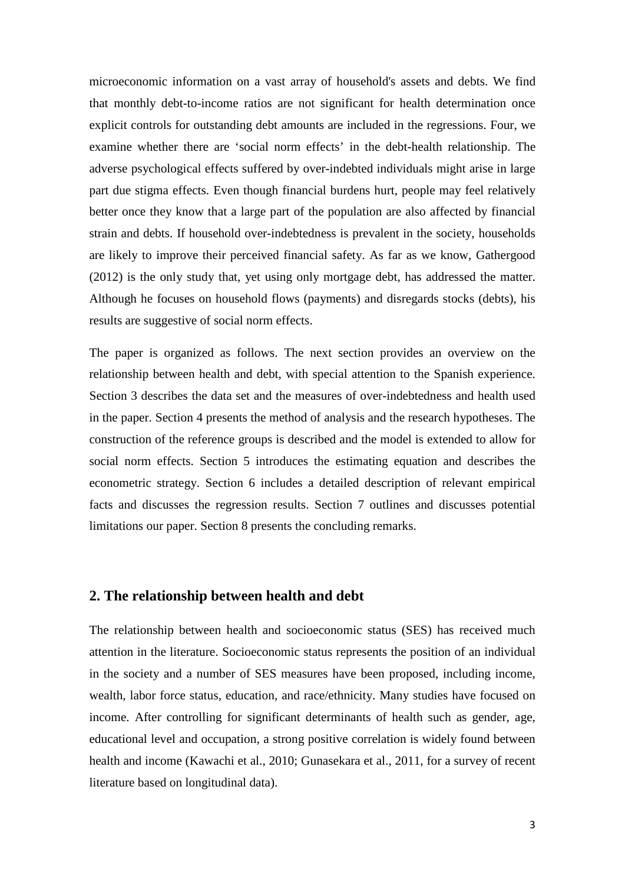microeconomic information on a vast array of household's assets and debts. We find that monthly debt-to-income ratios are not significant for health determination once explicit controls for outstanding debt amounts are included in the regressions. Four, we examine whether there are 'social norm effects' in the debt-health relationship. The adverse psychological effects suffered by over-indebted individuals might arise in large part due stigma effects. Even though financial burdens hurt, people may feel relatively better once they know that a large part of the population are also affected by financial strain and debts. If household over-indebtedness is prevalent in the society, households are likely to improve their perceived financial safety. As far as we know, Gathergood (2012) is the only study that, yet using only mortgage debt, has addressed the matter. Although he focuses on household flows (payments) and disregards stocks (debts), his results are suggestive of social norm effects.

The paper is organized as follows. The next section provides an overview on the relationship between health and debt, with special attention to the Spanish experience. Section 3 describes the data set and the measures of over-indebtedness and health used in the paper. Section 4 presents the method of analysis and the research hypotheses. The construction of the reference groups is described and the model is extended to allow for social norm effects. Section 5 introduces the estimating equation and describes the econometric strategy. Section 6 includes a detailed description of relevant empirical facts and discusses the regression results. Section 7 outlines and discusses potential limitations our paper. Section 8 presents the concluding remarks.

### **2. The relationship between health and debt**

The relationship between health and socioeconomic status (SES) has received much attention in the literature. Socioeconomic status represents the position of an individual in the society and a number of SES measures have been proposed, including income, wealth, labor force status, education, and race/ethnicity. Many studies have focused on income. After controlling for significant determinants of health such as gender, age, educational level and occupation, a strong positive correlation is widely found between health and income (Kawachi et al., 2010; Gunasekara et al., 2011, for a survey of recent literature based on longitudinal data).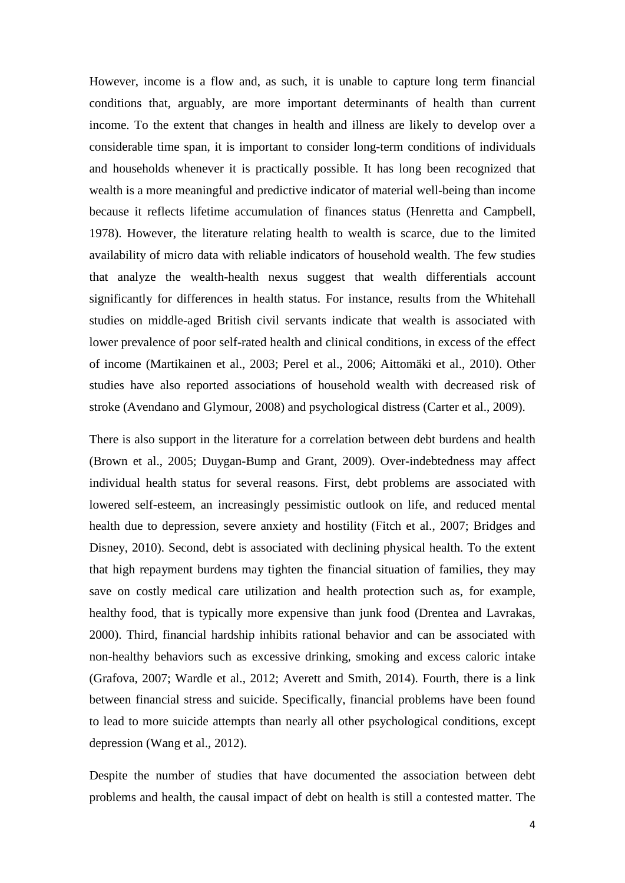However, income is a flow and, as such, it is unable to capture long term financial conditions that, arguably, are more important determinants of health than current income. To the extent that changes in health and illness are likely to develop over a considerable time span, it is important to consider long-term conditions of individuals and households whenever it is practically possible. It has long been recognized that wealth is a more meaningful and predictive indicator of material well-being than income because it reflects lifetime accumulation of finances status (Henretta and Campbell, 1978). However, the literature relating health to wealth is scarce, due to the limited availability of micro data with reliable indicators of household wealth. The few studies that analyze the wealth-health nexus suggest that wealth differentials account significantly for differences in health status. For instance, results from the Whitehall studies on middle-aged British civil servants indicate that wealth is associated with lower prevalence of poor self-rated health and clinical conditions, in excess of the effect of income (Martikainen et al., 2003; Perel et al., 2006; Aittomäki et al., 2010). Other studies have also reported associations of household wealth with decreased risk of stroke (Avendano and Glymour, 2008) and psychological distress (Carter et al., 2009).

There is also support in the literature for a correlation between debt burdens and health (Brown et al., 2005; Duygan-Bump and Grant, 2009). Over-indebtedness may affect individual health status for several reasons. First, debt problems are associated with lowered self-esteem, an increasingly pessimistic outlook on life, and reduced mental health due to depression, severe anxiety and hostility (Fitch et al., 2007; Bridges and Disney, 2010). Second, debt is associated with declining physical health. To the extent that high repayment burdens may tighten the financial situation of families, they may save on costly medical care utilization and health protection such as, for example, healthy food, that is typically more expensive than junk food (Drentea and Lavrakas, 2000). Third, financial hardship inhibits rational behavior and can be associated with non-healthy behaviors such as excessive drinking, smoking and excess caloric intake (Grafova, 2007; Wardle et al., 2012; Averett and Smith, 2014). Fourth, there is a link between financial stress and suicide. Specifically, financial problems have been found to lead to more suicide attempts than nearly all other psychological conditions, except depression (Wang et al., 2012).

Despite the number of studies that have documented the association between debt problems and health, the causal impact of debt on health is still a contested matter. The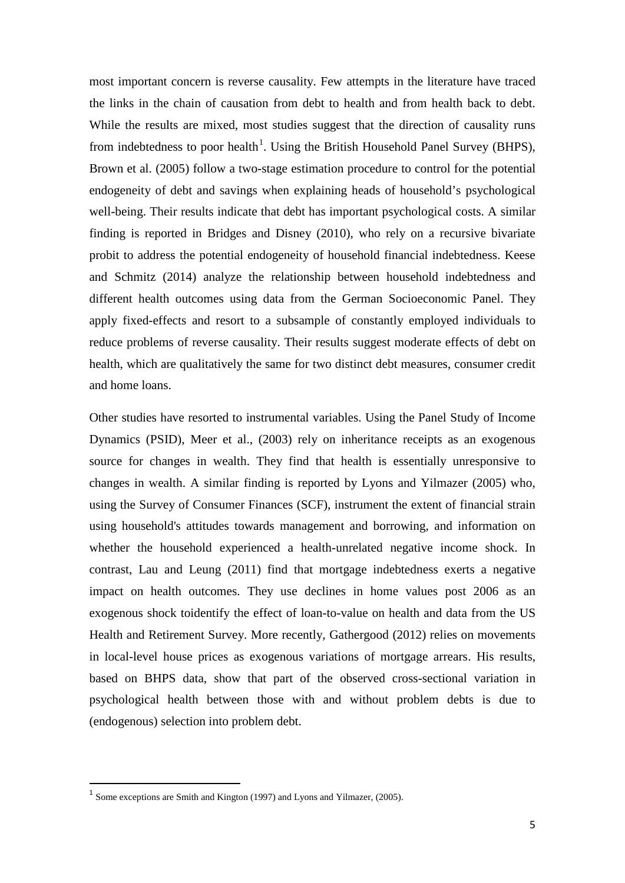most important concern is reverse causality. Few attempts in the literature have traced the links in the chain of causation from debt to health and from health back to debt. While the results are mixed, most studies suggest that the direction of causality runs from indebtedness to poor health<sup>1</sup>. Using the British Household Panel Survey (BHPS), Brown et al. (2005) follow a two-stage estimation procedure to control for the potential endogeneity of debt and savings when explaining heads of household's psychological well-being. Their results indicate that debt has important psychological costs. A similar finding is reported in Bridges and Disney (2010), who rely on a recursive bivariate probit to address the potential endogeneity of household financial indebtedness. Keese and Schmitz (2014) analyze the relationship between household indebtedness and different health outcomes using data from the German Socioeconomic Panel. They apply fixed-effects and resort to a subsample of constantly employed individuals to reduce problems of reverse causality. Their results suggest moderate effects of debt on health, which are qualitatively the same for two distinct debt measures, consumer credit and home loans.

Other studies have resorted to instrumental variables. Using the Panel Study of Income Dynamics (PSID), Meer et al., (2003) rely on inheritance receipts as an exogenous source for changes in wealth. They find that health is essentially unresponsive to changes in wealth. A similar finding is reported by Lyons and Yilmazer (2005) who, using the Survey of Consumer Finances (SCF), instrument the extent of financial strain using household's attitudes towards management and borrowing, and information on whether the household experienced a health-unrelated negative income shock. In contrast, Lau and Leung (2011) find that mortgage indebtedness exerts a negative impact on health outcomes. They use declines in home values post 2006 as an exogenous shock toidentify the effect of loan-to-value on health and data from the US Health and Retirement Survey. More recently, Gathergood (2012) relies on movements in local-level house prices as exogenous variations of mortgage arrears. His results, based on BHPS data, show that part of the observed cross-sectional variation in psychological health between those with and without problem debts is due to (endogenous) selection into problem debt.

<span id="page-6-0"></span> $<sup>1</sup>$  Some exceptions are Smith and Kington (1997) and Lyons and Yilmazer, (2005).</sup>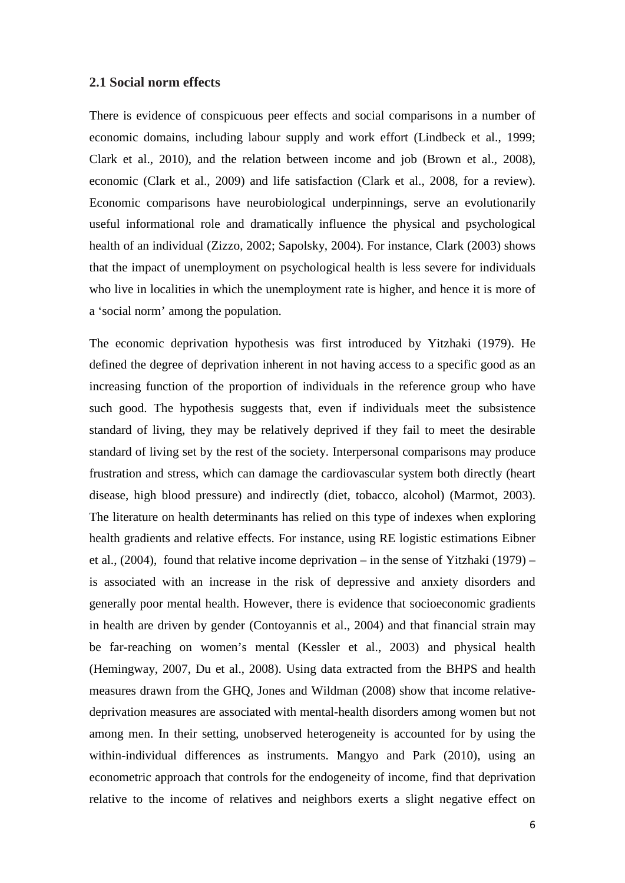#### **2.1 Social norm effects**

There is evidence of conspicuous peer effects and social comparisons in a number of economic domains, including labour supply and work effort (Lindbeck et al., 1999; Clark et al., 2010), and the relation between income and job (Brown et al., 2008), economic (Clark et al., 2009) and life satisfaction (Clark et al., 2008, for a review). Economic comparisons have neurobiological underpinnings, serve an evolutionarily useful informational role and dramatically influence the physical and psychological health of an individual (Zizzo, 2002; Sapolsky, 2004). For instance, Clark (2003) shows that the impact of unemployment on psychological health is less severe for individuals who live in localities in which the unemployment rate is higher, and hence it is more of a 'social norm' among the population.

The economic deprivation hypothesis was first introduced by Yitzhaki (1979). He defined the degree of deprivation inherent in not having access to a specific good as an increasing function of the proportion of individuals in the reference group who have such good. The hypothesis suggests that, even if individuals meet the subsistence standard of living, they may be relatively deprived if they fail to meet the desirable standard of living set by the rest of the society. Interpersonal comparisons may produce frustration and stress, which can damage the cardiovascular system both directly (heart disease, high blood pressure) and indirectly (diet, tobacco, alcohol) (Marmot, 2003). The literature on health determinants has relied on this type of indexes when exploring health gradients and relative effects. For instance, using RE logistic estimations Eibner et al., (2004), found that relative income deprivation – in the sense of Yitzhaki (1979) – is associated with an increase in the risk of depressive and anxiety disorders and generally poor mental health. However, there is evidence that socioeconomic gradients in health are driven by gender (Contoyannis et al., 2004) and that financial strain may be far-reaching on women's mental (Kessler et al., 2003) and physical health (Hemingway, 2007, Du et al., 2008). Using data extracted from the BHPS and health measures drawn from the GHQ, Jones and Wildman (2008) show that income relativedeprivation measures are associated with mental-health disorders among women but not among men. In their setting, unobserved heterogeneity is accounted for by using the within-individual differences as instruments. Mangyo and Park (2010), using an econometric approach that controls for the endogeneity of income, find that deprivation relative to the income of relatives and neighbors exerts a slight negative effect on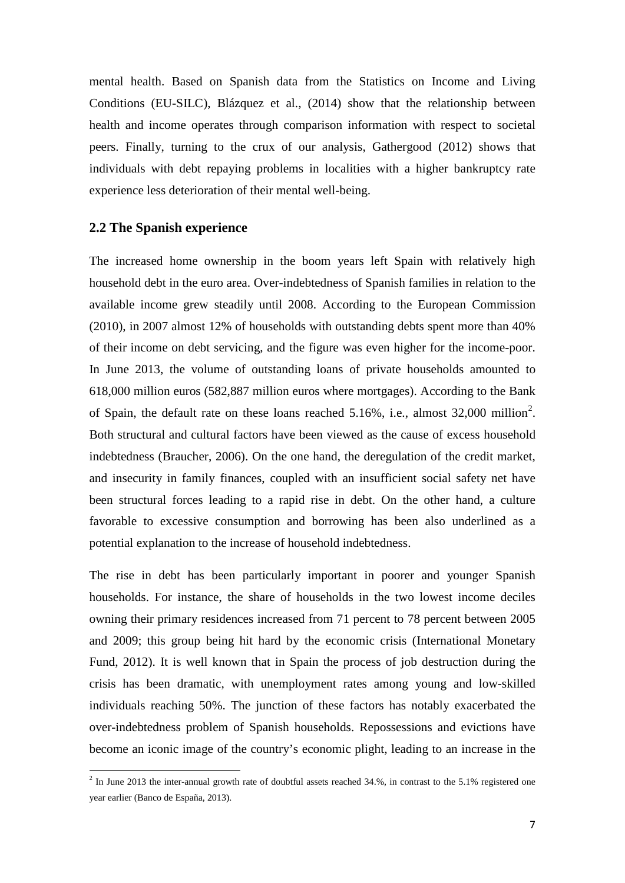mental health. Based on Spanish data from the Statistics on Income and Living Conditions (EU-SILC), Blázquez et al., (2014) show that the relationship between health and income operates through comparison information with respect to societal peers. Finally, turning to the crux of our analysis, Gathergood (2012) shows that individuals with debt repaying problems in localities with a higher bankruptcy rate experience less deterioration of their mental well-being.

#### **2.2 The Spanish experience**

1

The increased home ownership in the boom years left Spain with relatively high household debt in the euro area. Over-indebtedness of Spanish families in relation to the available income grew steadily until 2008. According to the European Commission (2010), in 2007 almost 12% of households with outstanding debts spent more than 40% of their income on debt servicing, and the figure was even higher for the income-poor. In June 2013, the volume of outstanding loans of private households amounted to 618,000 million euros (582,887 million euros where mortgages). According to the Bank of Spain, the default rate on these loans reached  $5.16\%$ , i.e., almost  $32,000$  $32,000$  $32,000$  million<sup>2</sup>. Both structural and cultural factors have been viewed as the cause of excess household indebtedness (Braucher, 2006). On the one hand, the deregulation of the credit market, and insecurity in family finances, coupled with an insufficient social safety net have been structural forces leading to a rapid rise in debt. On the other hand, a culture favorable to excessive consumption and borrowing has been also underlined as a potential explanation to the increase of household indebtedness.

The rise in debt has been particularly important in poorer and younger Spanish households. For instance, the share of households in the two lowest income deciles owning their primary residences increased from 71 percent to 78 percent between 2005 and 2009; this group being hit hard by the economic crisis (International Monetary Fund, 2012). It is well known that in Spain the process of job destruction during the crisis has been dramatic, with unemployment rates among young and low-skilled individuals reaching 50%. The junction of these factors has notably exacerbated the over-indebtedness problem of Spanish households. Repossessions and evictions have become an iconic image of the country's economic plight, leading to an increase in the

<span id="page-8-0"></span> $^2$  In June 2013 the inter-annual growth rate of doubtful assets reached 34.%, in contrast to the 5.1% registered one year earlier (Banco de España, 2013).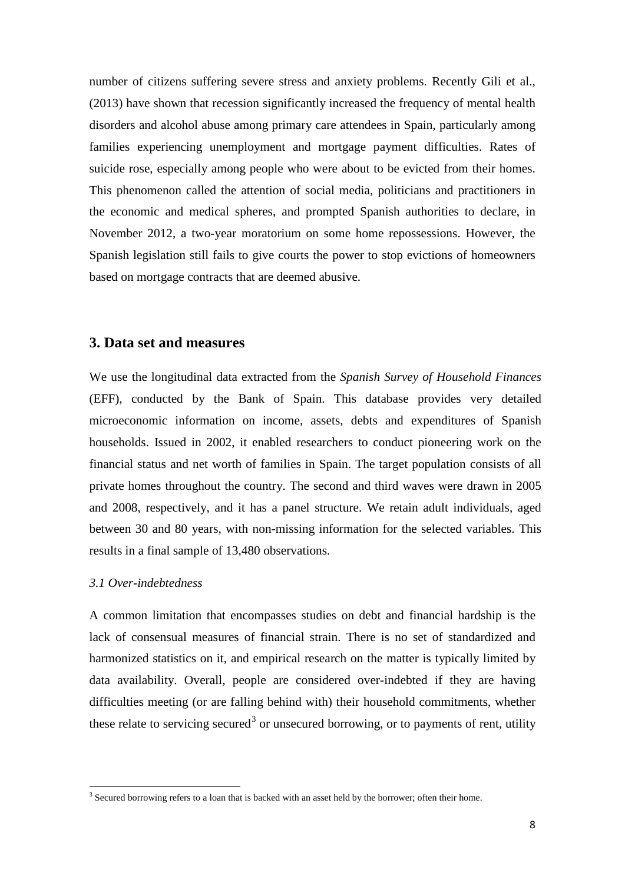number of citizens suffering severe stress and anxiety problems. Recently Gili et al., (2013) have shown that recession significantly increased the frequency of mental health disorders and alcohol abuse among primary care attendees in Spain, particularly among families experiencing unemployment and mortgage payment difficulties. Rates of suicide rose, especially among people who were about to be evicted from their homes. This phenomenon called the attention of social media, politicians and practitioners in the economic and medical spheres, and prompted Spanish authorities to declare, in November 2012, a two-year moratorium on some home repossessions. However, the Spanish legislation still fails to give courts the power to stop evictions of homeowners based on mortgage contracts that are deemed abusive.

### **3. Data set and measures**

We use the longitudinal data extracted from the *Spanish Survey of Household Finances* (EFF), conducted by the Bank of Spain. This database provides very detailed microeconomic information on income, assets, debts and expenditures of Spanish households. Issued in 2002, it enabled researchers to conduct pioneering work on the financial status and net worth of families in Spain. The target population consists of all private homes throughout the country. The second and third waves were drawn in 2005 and 2008, respectively, and it has a panel structure. We retain adult individuals, aged between 30 and 80 years, with non-missing information for the selected variables. This results in a final sample of 13,480 observations.

#### *3.1 Over-indebtedness*

<span id="page-9-0"></span> $\overline{a}$ 

A common limitation that encompasses studies on debt and financial hardship is the lack of consensual measures of financial strain. There is no set of standardized and harmonized statistics on it, and empirical research on the matter is typically limited by data availability. Overall, people are considered over-indebted if they are having difficulties meeting (or are falling behind with) their household commitments, whether these relate to servicing secured<sup>[3](#page-8-0)</sup> or unsecured borrowing, or to payments of rent, utility

 $3$  Secured borrowing refers to a loan that is backed with an asset held by the borrower; often their home.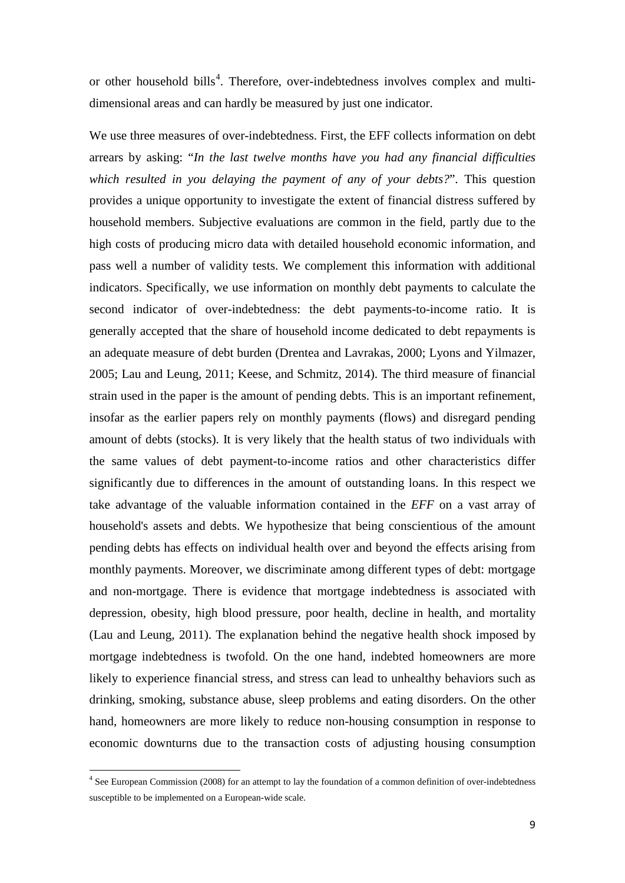or other household bills<sup>[4](#page-9-0)</sup>. Therefore, over-indebtedness involves complex and multidimensional areas and can hardly be measured by just one indicator.

We use three measures of over-indebtedness. First, the EFF collects information on debt arrears by asking: "*In the last twelve months have you had any financial difficulties which resulted in you delaying the payment of any of your debts?*". This question provides a unique opportunity to investigate the extent of financial distress suffered by household members. Subjective evaluations are common in the field, partly due to the high costs of producing micro data with detailed household economic information, and pass well a number of validity tests. We complement this information with additional indicators. Specifically, we use information on monthly debt payments to calculate the second indicator of over-indebtedness: the debt payments-to-income ratio. It is generally accepted that the share of household income dedicated to debt repayments is an adequate measure of debt burden (Drentea and Lavrakas, 2000; Lyons and Yilmazer, 2005; Lau and Leung, 2011; Keese, and Schmitz, 2014). The third measure of financial strain used in the paper is the amount of pending debts. This is an important refinement, insofar as the earlier papers rely on monthly payments (flows) and disregard pending amount of debts (stocks). It is very likely that the health status of two individuals with the same values of debt payment-to-income ratios and other characteristics differ significantly due to differences in the amount of outstanding loans. In this respect we take advantage of the valuable information contained in the *EFF* on a vast array of household's assets and debts. We hypothesize that being conscientious of the amount pending debts has effects on individual health over and beyond the effects arising from monthly payments. Moreover, we discriminate among different types of debt: mortgage and non-mortgage. There is evidence that mortgage indebtedness is associated with depression, obesity, high blood pressure, poor health, decline in health, and mortality (Lau and Leung, 2011). The explanation behind the negative health shock imposed by mortgage indebtedness is twofold. On the one hand, indebted homeowners are more likely to experience financial stress, and stress can lead to unhealthy behaviors such as drinking, smoking, substance abuse, sleep problems and eating disorders. On the other hand, homeowners are more likely to reduce non-housing consumption in response to economic downturns due to the transaction costs of adjusting housing consumption

1

<span id="page-10-0"></span><sup>4</sup> See European Commission (2008) for an attempt to lay the foundation of a common definition of over-indebtedness susceptible to be implemented on a European-wide scale.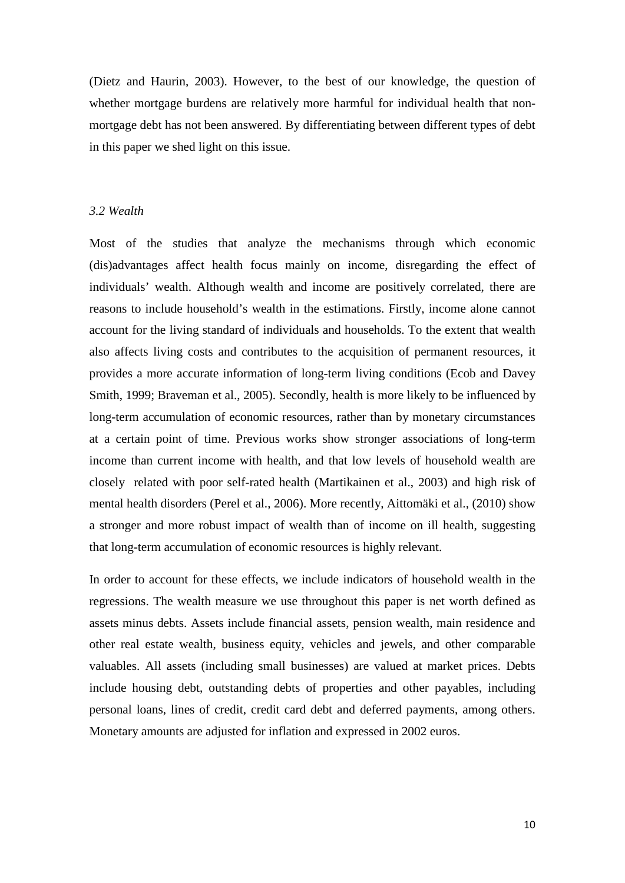(Dietz and Haurin, 2003). However, to the best of our knowledge, the question of whether mortgage burdens are relatively more harmful for individual health that nonmortgage debt has not been answered. By differentiating between different types of debt in this paper we shed light on this issue.

#### *3.2 Wealth*

Most of the studies that analyze the mechanisms through which economic (dis)advantages affect health focus mainly on income, disregarding the effect of individuals' wealth. Although wealth and income are positively correlated, there are reasons to include household's wealth in the estimations. Firstly, income alone cannot account for the living standard of individuals and households. To the extent that wealth also affects living costs and contributes to the acquisition of permanent resources, it provides a more accurate information of long-term living conditions (Ecob and Davey Smith, 1999; Braveman et al., 2005). Secondly, health is more likely to be influenced by long-term accumulation of economic resources, rather than by monetary circumstances at a certain point of time. Previous works show stronger associations of long-term income than current income with health, and that low levels of household wealth are closely related with poor self-rated health (Martikainen et al., 2003) and high risk of mental health disorders (Perel et al., 2006). More recently, Aittomäki et al., (2010) show a stronger and more robust impact of wealth than of income on ill health, suggesting that long-term accumulation of economic resources is highly relevant.

In order to account for these effects, we include indicators of household wealth in the regressions. The wealth measure we use throughout this paper is net worth defined as assets minus debts. Assets include financial assets, pension wealth, main residence and other real estate wealth, business equity, vehicles and jewels, and other comparable valuables. All assets (including small businesses) are valued at market prices. Debts include housing debt, outstanding debts of properties and other payables, including personal loans, lines of credit, credit card debt and deferred payments, among others. Monetary amounts are adjusted for inflation and expressed in 2002 euros.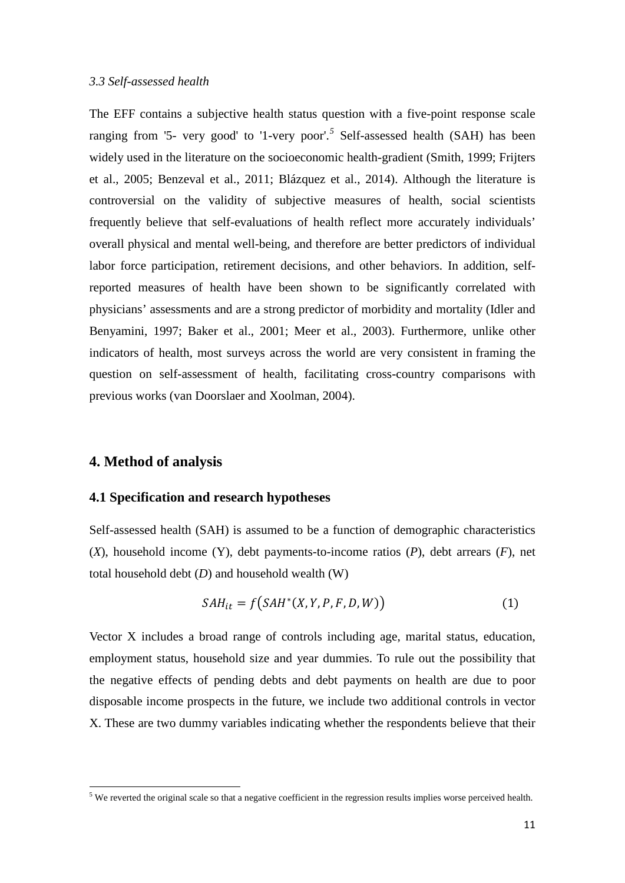#### *3.3 Self-assessed health*

The EFF contains a subjective health status question with a five-point response scale ranging from '[5](#page-10-0)- very good' to '1-very poor'.<sup>5</sup> Self-assessed health (SAH) has been widely used in the literature on the socioeconomic health-gradient (Smith, 1999; Frijters et al., 2005; Benzeval et al., 2011; Blázquez et al., 2014). Although the literature is controversial on the validity of subjective measures of health, social scientists frequently believe that self-evaluations of health reflect more accurately individuals' overall physical and mental well-being, and therefore are better predictors of individual labor force participation, retirement decisions, and other behaviors. In addition, selfreported measures of health have been shown to be significantly correlated with physicians' assessments and are a strong predictor of morbidity and mortality (Idler and Benyamini, 1997; Baker et al., 2001; Meer et al., 2003). Furthermore, unlike other indicators of health, most surveys across the world are very consistent in framing the question on self-assessment of health, facilitating cross-country comparisons with previous works (van Doorslaer and Xoolman, 2004).

#### **4. Method of analysis**

<span id="page-12-0"></span> $\overline{a}$ 

#### **4.1 Specification and research hypotheses**

Self-assessed health (SAH) is assumed to be a function of demographic characteristics (*X*), household income (Y), debt payments-to-income ratios (*P*), debt arrears (*F*), net total household debt (*D*) and household wealth (W)

$$
SAH_{it} = f(SAH^*(X, Y, P, F, D, W))
$$
\n<sup>(1)</sup>

Vector X includes a broad range of controls including age, marital status, education, employment status, household size and year dummies. To rule out the possibility that the negative effects of pending debts and debt payments on health are due to poor disposable income prospects in the future, we include two additional controls in vector X. These are two dummy variables indicating whether the respondents believe that their

<sup>&</sup>lt;sup>5</sup> We reverted the original scale so that a negative coefficient in the regression results implies worse perceived health.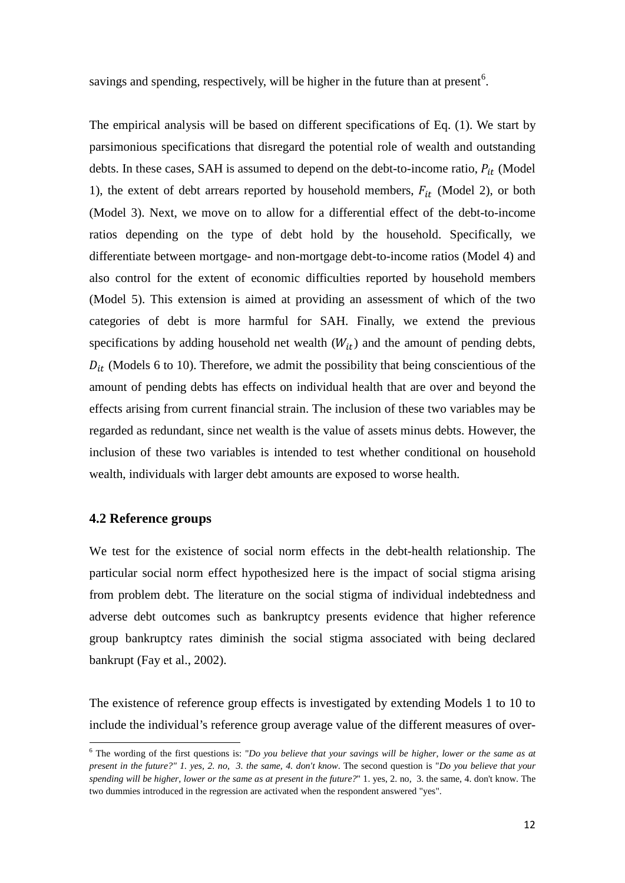savings and spending, respectively, will be higher in the future than at present<sup>[6](#page-12-0)</sup>.

The empirical analysis will be based on different specifications of Eq. (1). We start by parsimonious specifications that disregard the potential role of wealth and outstanding debts. In these cases, SAH is assumed to depend on the debt-to-income ratio,  $P_{it}$  (Model 1), the extent of debt arrears reported by household members,  $F_{it}$  (Model 2), or both (Model 3). Next, we move on to allow for a differential effect of the debt-to-income ratios depending on the type of debt hold by the household. Specifically, we differentiate between mortgage- and non-mortgage debt-to-income ratios (Model 4) and also control for the extent of economic difficulties reported by household members (Model 5). This extension is aimed at providing an assessment of which of the two categories of debt is more harmful for SAH. Finally, we extend the previous specifications by adding household net wealth  $(W_{it})$  and the amount of pending debts,  $D_{it}$  (Models 6 to 10). Therefore, we admit the possibility that being conscientious of the amount of pending debts has effects on individual health that are over and beyond the effects arising from current financial strain. The inclusion of these two variables may be regarded as redundant, since net wealth is the value of assets minus debts. However, the inclusion of these two variables is intended to test whether conditional on household wealth, individuals with larger debt amounts are exposed to worse health.

#### **4.2 Reference groups**

**.** 

We test for the existence of social norm effects in the debt-health relationship. The particular social norm effect hypothesized here is the impact of social stigma arising from problem debt. The literature on the social stigma of individual indebtedness and adverse debt outcomes such as bankruptcy presents evidence that higher reference group bankruptcy rates diminish the social stigma associated with being declared bankrupt (Fay et al., 2002).

<span id="page-13-0"></span>The existence of reference group effects is investigated by extending Models 1 to 10 to include the individual's reference group average value of the different measures of over-

 $6$  The wording of the first questions is: "*Do you believe that your savings will be higher, lower or the same as at present in the future?" 1. yes, 2. no, 3. the same, 4. don't know*. The second question is "*Do you believe that your spending will be higher, lower or the same as at present in the future?*" 1. yes, 2. no, 3. the same, 4. don't know. The two dummies introduced in the regression are activated when the respondent answered "yes".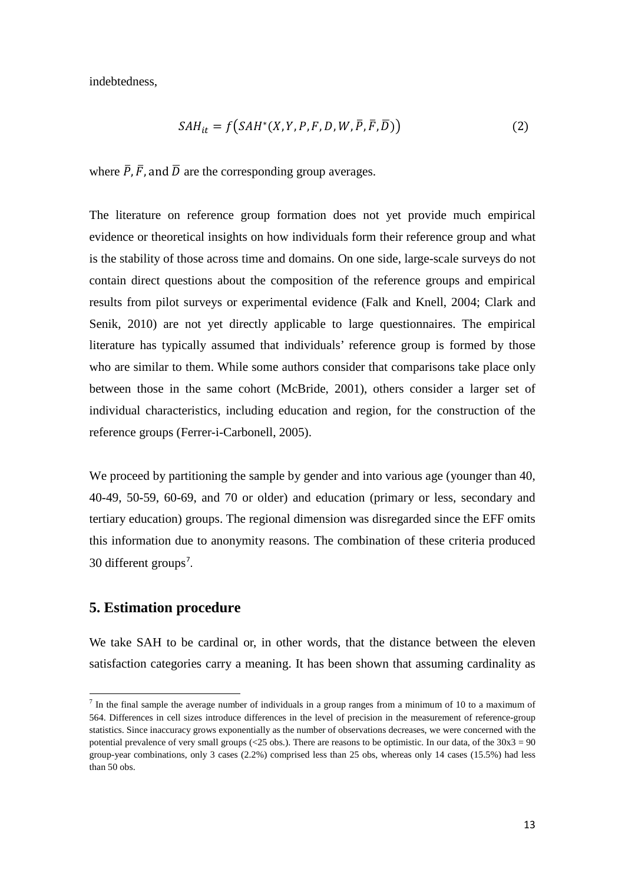indebtedness,

$$
SAH_{it} = f(SAH^*(X, Y, P, F, D, W, \overline{P}, \overline{F}, \overline{D}))
$$
\n(2)

where  $\overline{P}$ ,  $\overline{F}$ , and  $\overline{D}$  are the corresponding group averages.

The literature on reference group formation does not yet provide much empirical evidence or theoretical insights on how individuals form their reference group and what is the stability of those across time and domains. On one side, large-scale surveys do not contain direct questions about the composition of the reference groups and empirical results from pilot surveys or experimental evidence (Falk and Knell, 2004; Clark and Senik, 2010) are not yet directly applicable to large questionnaires. The empirical literature has typically assumed that individuals' reference group is formed by those who are similar to them. While some authors consider that comparisons take place only between those in the same cohort (McBride, 2001), others consider a larger set of individual characteristics, including education and region, for the construction of the reference groups (Ferrer-i-Carbonell, 2005).

We proceed by partitioning the sample by gender and into various age (younger than 40, 40-49, 50-59, 60-69, and 70 or older) and education (primary or less, secondary and tertiary education) groups. The regional dimension was disregarded since the EFF omits this information due to anonymity reasons. The combination of these criteria produced 30 different groups<sup>[7](#page-13-0)</sup>.

### **5. Estimation procedure**

<span id="page-14-0"></span> $\overline{a}$ 

We take SAH to be cardinal or, in other words, that the distance between the eleven satisfaction categories carry a meaning. It has been shown that assuming cardinality as

 $<sup>7</sup>$  In the final sample the average number of individuals in a group ranges from a minimum of 10 to a maximum of</sup> 564. Differences in cell sizes introduce differences in the level of precision in the measurement of reference-group statistics. Since inaccuracy grows exponentially as the number of observations decreases, we were concerned with the potential prevalence of very small groups (<25 obs.). There are reasons to be optimistic. In our data, of the  $30x3 = 90$ group-year combinations, only 3 cases (2.2%) comprised less than 25 obs, whereas only 14 cases (15.5%) had less than 50 obs.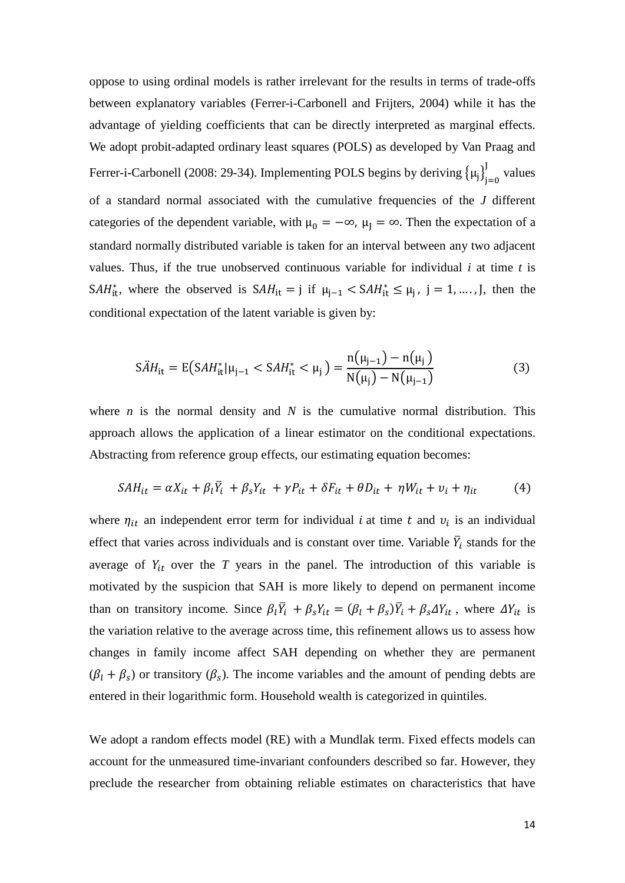oppose to using ordinal models is rather irrelevant for the results in terms of trade-offs between explanatory variables (Ferrer-i-Carbonell and Frijters, 2004) while it has the advantage of yielding coefficients that can be directly interpreted as marginal effects. We adopt probit-adapted ordinary least squares (POLS) as developed by Van Praag and Ferrer-i-Carbonell (2008: 29-34). Implementing POLS begins by deriving  ${\mu_j}_{j=0}^J$  values of a standard normal associated with the cumulative frequencies of the *J* different categories of the dependent variable, with  $\mu_0 = -\infty$ ,  $\mu_1 = \infty$ . Then the expectation of a standard normally distributed variable is taken for an interval between any two adjacent values. Thus, if the true unobserved continuous variable for individual *i* at time *t* is SAH<sup>\*</sup><sub>i</sub><sup>\*</sup>, where the observed is  $SAH_{it} = j$  if  $\mu_{j-1} < SAH_{it}^* \le \mu_j$ , j = 1, ..., J, then the conditional expectation of the latent variable is given by:

$$
S\ddot{A}H_{it} = E(SAH_{it}^*|\mu_{j-1} < SAH_{it}^* < \mu_j) = \frac{n(\mu_{j-1}) - n(\mu_j)}{N(\mu_j) - N(\mu_{j-1})} \tag{3}
$$

where *n* is the normal density and *N* is the cumulative normal distribution. This approach allows the application of a linear estimator on the conditional expectations. Abstracting from reference group effects, our estimating equation becomes:

$$
SAH_{it} = \alpha X_{it} + \beta_l \overline{Y}_i + \beta_s Y_{it} + \gamma P_{it} + \delta F_{it} + \theta D_{it} + \eta W_{it} + \nu_i + \eta_{it}
$$
(4)

where  $\eta_{it}$  an independent error term for individual *i* at time *t* and  $v_i$  is an individual effect that varies across individuals and is constant over time. Variable  $\overline{Y}_i$  stands for the average of  $Y_{it}$  over the  $T$  years in the panel. The introduction of this variable is motivated by the suspicion that SAH is more likely to depend on permanent income than on transitory income. Since  $\beta_l \overline{Y}_i + \beta_s Y_{it} = (\beta_l + \beta_s) \overline{Y}_i + \beta_s \Delta Y_{it}$ , where  $\Delta Y_{it}$  is the variation relative to the average across time, this refinement allows us to assess how changes in family income affect SAH depending on whether they are permanent  $(\beta_l + \beta_s)$  or transitory  $(\beta_s)$ . The income variables and the amount of pending debts are entered in their logarithmic form. Household wealth is categorized in quintiles.

We adopt a random effects model (RE) with a Mundlak term. Fixed effects models can account for the unmeasured time-invariant confounders described so far. However, they preclude the researcher from obtaining reliable estimates on characteristics that have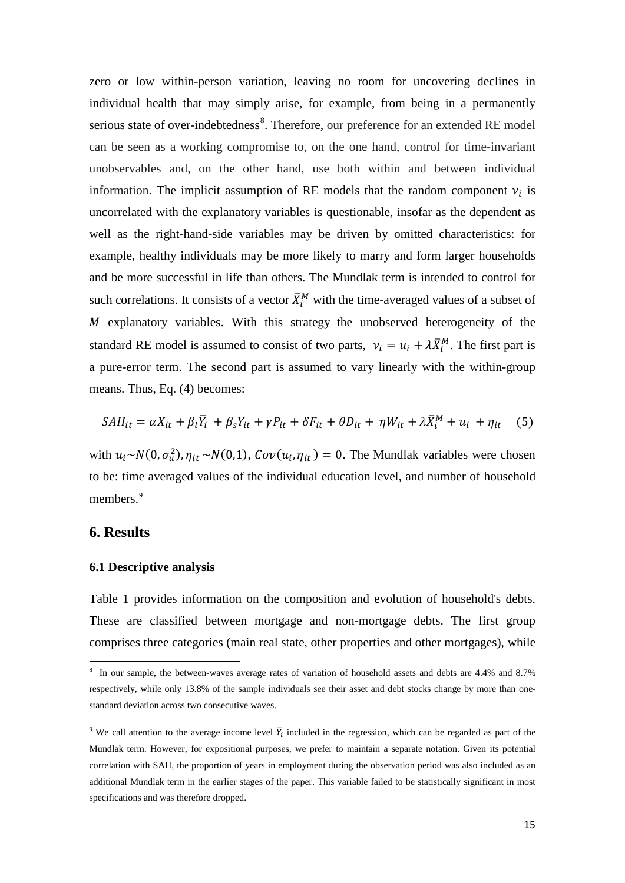zero or low within-person variation, leaving no room for uncovering declines in individual health that may simply arise, for example, from being in a permanently serious state of over-indebtedness<sup>[8](#page-14-0)</sup>. Therefore, our preference for an extended RE model can be seen as a working compromise to, on the one hand, control for time-invariant unobservables and, on the other hand, use both within and between individual information. The implicit assumption of RE models that the random component  $v_i$  is uncorrelated with the explanatory variables is questionable, insofar as the dependent as well as the right-hand-side variables may be driven by omitted characteristics: for example, healthy individuals may be more likely to marry and form larger households and be more successful in life than others. The Mundlak term is intended to control for such correlations. It consists of a vector  $\bar{X}_i^M$  with the time-averaged values of a subset of  $M$  explanatory variables. With this strategy the unobserved heterogeneity of the standard RE model is assumed to consist of two parts,  $v_i = u_i + \lambda \overline{X}_i^M$ . The first part is a pure-error term. The second part is assumed to vary linearly with the within-group means. Thus, Eq. (4) becomes:

$$
SAH_{it} = \alpha X_{it} + \beta_l \overline{Y}_i + \beta_s Y_{it} + \gamma P_{it} + \delta F_{it} + \theta D_{it} + \eta W_{it} + \lambda \overline{X}_i^M + u_i + \eta_{it} \quad (5)
$$

with  $u_i \sim N(0, \sigma_u^2)$ ,  $\eta_{it} \sim N(0,1)$ ,  $Cov(u_i, \eta_{it}) = 0$ . The Mundlak variables were chosen to be: time averaged values of the individual education level, and number of household members.<sup>[9](#page-16-0)</sup>

#### **6. Results**

**.** 

#### **6.1 Descriptive analysis**

Table 1 provides information on the composition and evolution of household's debts. These are classified between mortgage and non-mortgage debts. The first group comprises three categories (main real state, other properties and other mortgages), while

<sup>&</sup>lt;sup>8</sup> In our sample, the between-waves average rates of variation of household assets and debts are 4.4% and 8.7% respectively, while only 13.8% of the sample individuals see their asset and debt stocks change by more than onestandard deviation across two consecutive waves.

<span id="page-16-1"></span><span id="page-16-0"></span><sup>&</sup>lt;sup>9</sup> We call attention to the average income level  $\bar{Y}_i$  included in the regression, which can be regarded as part of the Mundlak term. However, for expositional purposes, we prefer to maintain a separate notation. Given its potential correlation with SAH, the proportion of years in employment during the observation period was also included as an additional Mundlak term in the earlier stages of the paper. This variable failed to be statistically significant in most specifications and was therefore dropped.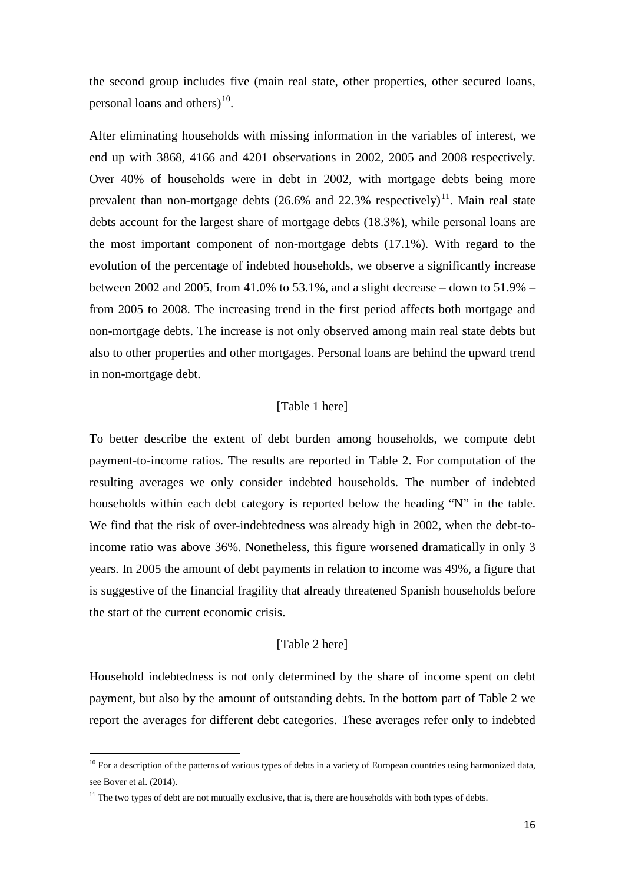the second group includes five (main real state, other properties, other secured loans, personal loans and others) $^{10}$  $^{10}$  $^{10}$ .

After eliminating households with missing information in the variables of interest, we end up with 3868, 4166 and 4201 observations in 2002, 2005 and 2008 respectively. Over 40% of households were in debt in 2002, with mortgage debts being more prevalent than non-mortgage debts  $(26.6\%$  and  $22.3\%$  respectively)<sup>11</sup>. Main real state debts account for the largest share of mortgage debts (18.3%), while personal loans are the most important component of non-mortgage debts (17.1%). With regard to the evolution of the percentage of indebted households, we observe a significantly increase between 2002 and 2005, from 41.0% to 53.1%, and a slight decrease – down to 51.9% – from 2005 to 2008. The increasing trend in the first period affects both mortgage and non-mortgage debts. The increase is not only observed among main real state debts but also to other properties and other mortgages. Personal loans are behind the upward trend in non-mortgage debt.

#### [Table 1 here]

To better describe the extent of debt burden among households, we compute debt payment-to-income ratios. The results are reported in Table 2. For computation of the resulting averages we only consider indebted households. The number of indebted households within each debt category is reported below the heading "N" in the table. We find that the risk of over-indebtedness was already high in 2002, when the debt-toincome ratio was above 36%. Nonetheless, this figure worsened dramatically in only 3 years. In 2005 the amount of debt payments in relation to income was 49%, a figure that is suggestive of the financial fragility that already threatened Spanish households before the start of the current economic crisis.

#### [Table 2 here]

Household indebtedness is not only determined by the share of income spent on debt payment, but also by the amount of outstanding debts. In the bottom part of Table 2 we report the averages for different debt categories. These averages refer only to indebted

<span id="page-17-1"></span> $\overline{a}$ 

<sup>&</sup>lt;sup>10</sup> For a description of the patterns of various types of debts in a variety of European countries using harmonized data, see Bover et al. (2014).

<span id="page-17-0"></span> $11$  The two types of debt are not mutually exclusive, that is, there are households with both types of debts.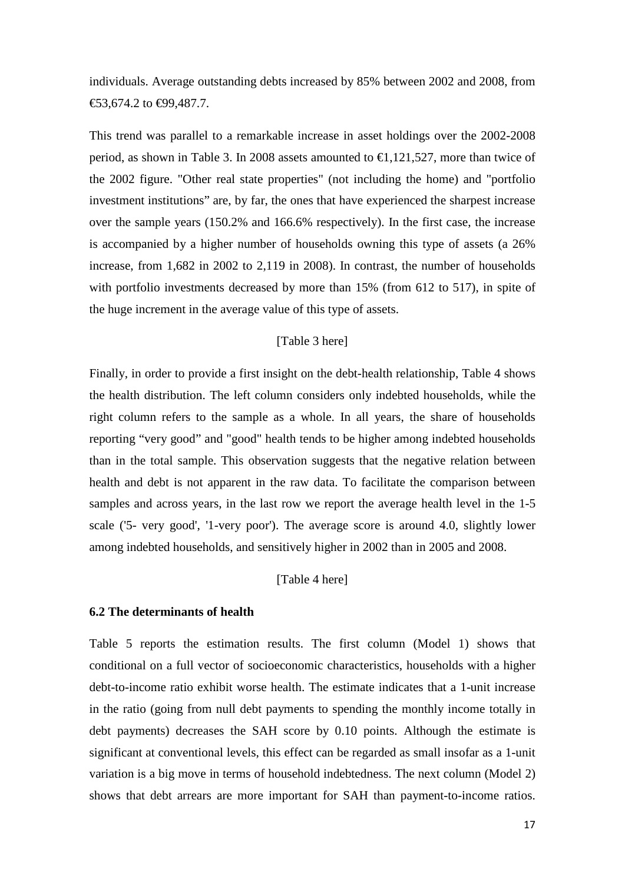individuals. Average outstanding debts increased by 85% between 2002 and 2008, from €53,674.2 to €99,487.7.

This trend was parallel to a remarkable increase in asset holdings over the 2002-2008 period, as shown in Table 3. In 2008 assets amounted to  $\in$ 1,121,527, more than twice of the 2002 figure. "Other real state properties" (not including the home) and "portfolio investment institutions" are, by far, the ones that have experienced the sharpest increase over the sample years (150.2% and 166.6% respectively). In the first case, the increase is accompanied by a higher number of households owning this type of assets (a 26% increase, from 1,682 in 2002 to 2,119 in 2008). In contrast, the number of households with portfolio investments decreased by more than 15% (from 612 to 517), in spite of the huge increment in the average value of this type of assets.

#### [Table 3 here]

Finally, in order to provide a first insight on the debt-health relationship, Table 4 shows the health distribution. The left column considers only indebted households, while the right column refers to the sample as a whole. In all years, the share of households reporting "very good" and "good" health tends to be higher among indebted households than in the total sample. This observation suggests that the negative relation between health and debt is not apparent in the raw data. To facilitate the comparison between samples and across years, in the last row we report the average health level in the 1-5 scale ('5- very good', '1-very poor'). The average score is around 4.0, slightly lower among indebted households, and sensitively higher in 2002 than in 2005 and 2008.

#### [Table 4 here]

#### **6.2 The determinants of health**

Table 5 reports the estimation results. The first column (Model 1) shows that conditional on a full vector of socioeconomic characteristics, households with a higher debt-to-income ratio exhibit worse health. The estimate indicates that a 1-unit increase in the ratio (going from null debt payments to spending the monthly income totally in debt payments) decreases the SAH score by 0.10 points. Although the estimate is significant at conventional levels, this effect can be regarded as small insofar as a 1-unit variation is a big move in terms of household indebtedness. The next column (Model 2) shows that debt arrears are more important for SAH than payment-to-income ratios.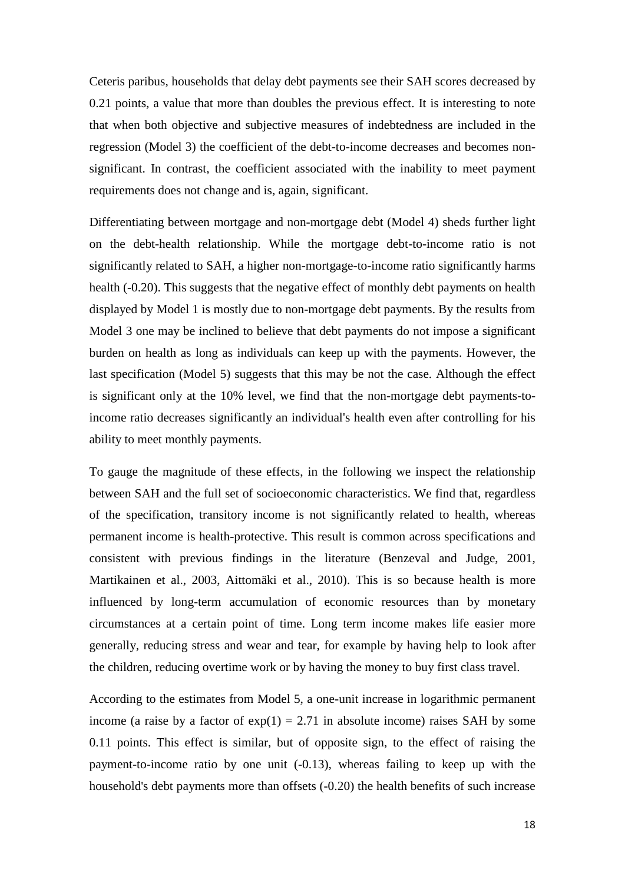Ceteris paribus, households that delay debt payments see their SAH scores decreased by 0.21 points, a value that more than doubles the previous effect. It is interesting to note that when both objective and subjective measures of indebtedness are included in the regression (Model 3) the coefficient of the debt-to-income decreases and becomes nonsignificant. In contrast, the coefficient associated with the inability to meet payment requirements does not change and is, again, significant.

Differentiating between mortgage and non-mortgage debt (Model 4) sheds further light on the debt-health relationship. While the mortgage debt-to-income ratio is not significantly related to SAH, a higher non-mortgage-to-income ratio significantly harms health (-0.20). This suggests that the negative effect of monthly debt payments on health displayed by Model 1 is mostly due to non-mortgage debt payments. By the results from Model 3 one may be inclined to believe that debt payments do not impose a significant burden on health as long as individuals can keep up with the payments. However, the last specification (Model 5) suggests that this may be not the case. Although the effect is significant only at the 10% level, we find that the non-mortgage debt payments-toincome ratio decreases significantly an individual's health even after controlling for his ability to meet monthly payments.

To gauge the magnitude of these effects, in the following we inspect the relationship between SAH and the full set of socioeconomic characteristics. We find that, regardless of the specification, transitory income is not significantly related to health, whereas permanent income is health-protective. This result is common across specifications and consistent with previous findings in the literature (Benzeval and Judge, 2001, Martikainen et al., 2003, Aittomäki et al., 2010). This is so because health is more influenced by long-term accumulation of economic resources than by monetary circumstances at a certain point of time. Long term income makes life easier more generally, reducing stress and wear and tear, for example by having help to look after the children, reducing overtime work or by having the money to buy first class travel.

According to the estimates from Model 5, a one-unit increase in logarithmic permanent income (a raise by a factor of  $exp(1) = 2.71$  in absolute income) raises SAH by some 0.11 points. This effect is similar, but of opposite sign, to the effect of raising the payment-to-income ratio by one unit (-0.13), whereas failing to keep up with the household's debt payments more than offsets (-0.20) the health benefits of such increase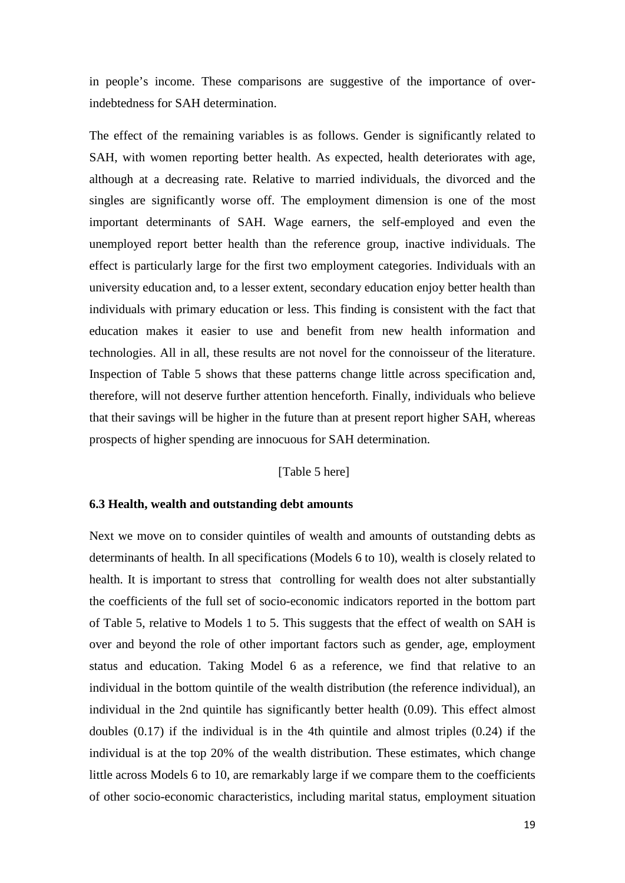in people's income. These comparisons are suggestive of the importance of overindebtedness for SAH determination.

The effect of the remaining variables is as follows. Gender is significantly related to SAH, with women reporting better health. As expected, health deteriorates with age, although at a decreasing rate. Relative to married individuals, the divorced and the singles are significantly worse off. The employment dimension is one of the most important determinants of SAH. Wage earners, the self-employed and even the unemployed report better health than the reference group, inactive individuals. The effect is particularly large for the first two employment categories. Individuals with an university education and, to a lesser extent, secondary education enjoy better health than individuals with primary education or less. This finding is consistent with the fact that education makes it easier to use and benefit from new health information and technologies. All in all, these results are not novel for the connoisseur of the literature. Inspection of Table 5 shows that these patterns change little across specification and, therefore, will not deserve further attention henceforth. Finally, individuals who believe that their savings will be higher in the future than at present report higher SAH, whereas prospects of higher spending are innocuous for SAH determination.

#### [Table 5 here]

#### **6.3 Health, wealth and outstanding debt amounts**

Next we move on to consider quintiles of wealth and amounts of outstanding debts as determinants of health. In all specifications (Models 6 to 10), wealth is closely related to health. It is important to stress that controlling for wealth does not alter substantially the coefficients of the full set of socio-economic indicators reported in the bottom part of Table 5, relative to Models 1 to 5. This suggests that the effect of wealth on SAH is over and beyond the role of other important factors such as gender, age, employment status and education. Taking Model 6 as a reference, we find that relative to an individual in the bottom quintile of the wealth distribution (the reference individual), an individual in the 2nd quintile has significantly better health (0.09). This effect almost doubles (0.17) if the individual is in the 4th quintile and almost triples (0.24) if the individual is at the top 20% of the wealth distribution. These estimates, which change little across Models 6 to 10, are remarkably large if we compare them to the coefficients of other socio-economic characteristics, including marital status, employment situation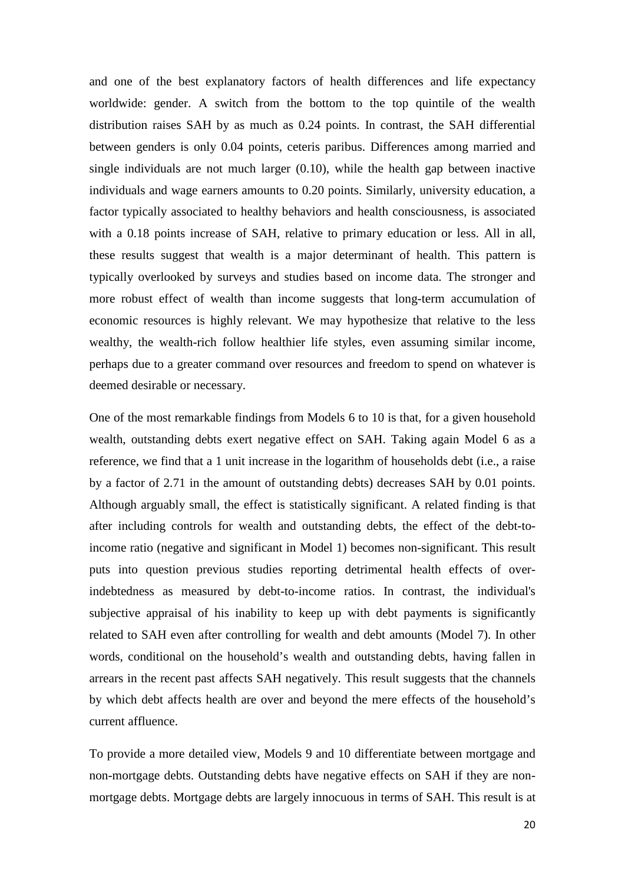and one of the best explanatory factors of health differences and life expectancy worldwide: gender. A switch from the bottom to the top quintile of the wealth distribution raises SAH by as much as 0.24 points. In contrast, the SAH differential between genders is only 0.04 points, ceteris paribus. Differences among married and single individuals are not much larger (0.10), while the health gap between inactive individuals and wage earners amounts to 0.20 points. Similarly, university education, a factor typically associated to healthy behaviors and health consciousness, is associated with a 0.18 points increase of SAH, relative to primary education or less. All in all, these results suggest that wealth is a major determinant of health. This pattern is typically overlooked by surveys and studies based on income data. The stronger and more robust effect of wealth than income suggests that long-term accumulation of economic resources is highly relevant. We may hypothesize that relative to the less wealthy, the wealth-rich follow healthier life styles, even assuming similar income, perhaps due to a greater command over resources and freedom to spend on whatever is deemed desirable or necessary.

One of the most remarkable findings from Models 6 to 10 is that, for a given household wealth, outstanding debts exert negative effect on SAH. Taking again Model 6 as a reference, we find that a 1 unit increase in the logarithm of households debt (i.e., a raise by a factor of 2.71 in the amount of outstanding debts) decreases SAH by 0.01 points. Although arguably small, the effect is statistically significant. A related finding is that after including controls for wealth and outstanding debts, the effect of the debt-toincome ratio (negative and significant in Model 1) becomes non-significant. This result puts into question previous studies reporting detrimental health effects of overindebtedness as measured by debt-to-income ratios. In contrast, the individual's subjective appraisal of his inability to keep up with debt payments is significantly related to SAH even after controlling for wealth and debt amounts (Model 7). In other words, conditional on the household's wealth and outstanding debts, having fallen in arrears in the recent past affects SAH negatively. This result suggests that the channels by which debt affects health are over and beyond the mere effects of the household's current affluence.

To provide a more detailed view, Models 9 and 10 differentiate between mortgage and non-mortgage debts. Outstanding debts have negative effects on SAH if they are nonmortgage debts. Mortgage debts are largely innocuous in terms of SAH. This result is at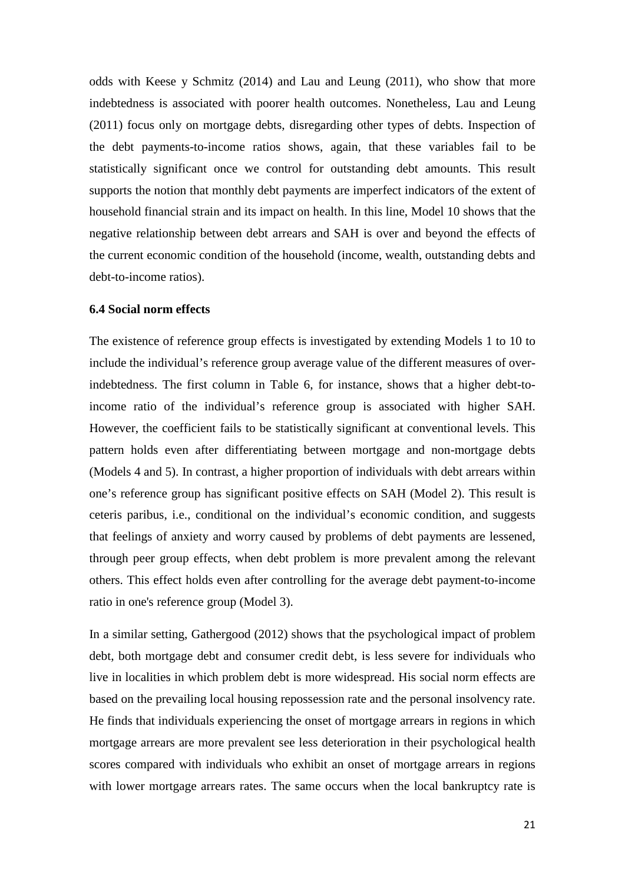odds with Keese y Schmitz (2014) and Lau and Leung (2011), who show that more indebtedness is associated with poorer health outcomes. Nonetheless, Lau and Leung (2011) focus only on mortgage debts, disregarding other types of debts. Inspection of the debt payments-to-income ratios shows, again, that these variables fail to be statistically significant once we control for outstanding debt amounts. This result supports the notion that monthly debt payments are imperfect indicators of the extent of household financial strain and its impact on health. In this line, Model 10 shows that the negative relationship between debt arrears and SAH is over and beyond the effects of the current economic condition of the household (income, wealth, outstanding debts and debt-to-income ratios).

#### **6.4 Social norm effects**

The existence of reference group effects is investigated by extending Models 1 to 10 to include the individual's reference group average value of the different measures of overindebtedness. The first column in Table 6, for instance, shows that a higher debt-toincome ratio of the individual's reference group is associated with higher SAH. However, the coefficient fails to be statistically significant at conventional levels. This pattern holds even after differentiating between mortgage and non-mortgage debts (Models 4 and 5). In contrast, a higher proportion of individuals with debt arrears within one's reference group has significant positive effects on SAH (Model 2). This result is ceteris paribus, i.e., conditional on the individual's economic condition, and suggests that feelings of anxiety and worry caused by problems of debt payments are lessened, through peer group effects, when debt problem is more prevalent among the relevant others. This effect holds even after controlling for the average debt payment-to-income ratio in one's reference group (Model 3).

In a similar setting, Gathergood (2012) shows that the psychological impact of problem debt, both mortgage debt and consumer credit debt, is less severe for individuals who live in localities in which problem debt is more widespread. His social norm effects are based on the prevailing local housing repossession rate and the personal insolvency rate. He finds that individuals experiencing the onset of mortgage arrears in regions in which mortgage arrears are more prevalent see less deterioration in their psychological health scores compared with individuals who exhibit an onset of mortgage arrears in regions with lower mortgage arrears rates. The same occurs when the local bankruptcy rate is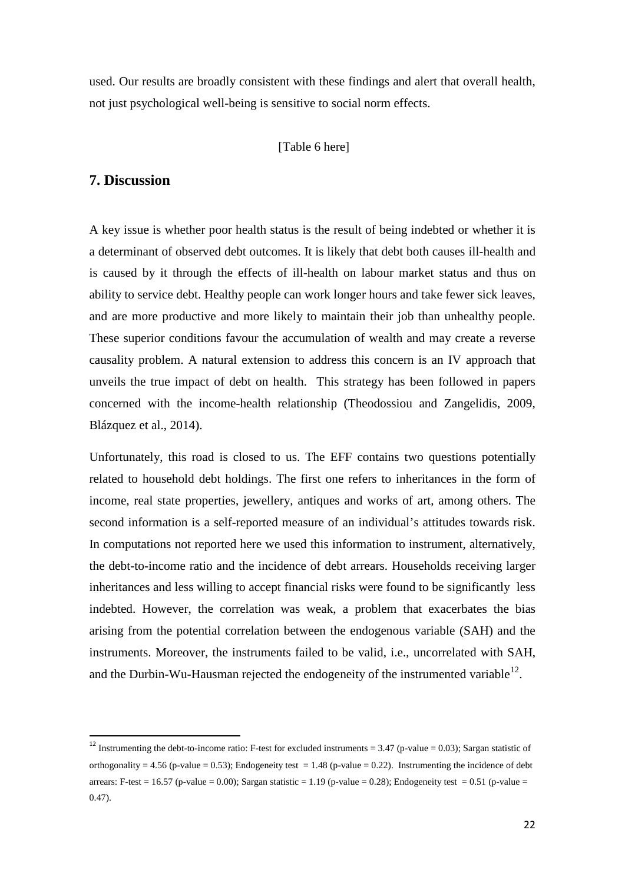used. Our results are broadly consistent with these findings and alert that overall health, not just psychological well-being is sensitive to social norm effects.

#### [Table 6 here]

### **7. Discussion**

A key issue is whether poor health status is the result of being indebted or whether it is a determinant of observed debt outcomes. It is likely that debt both causes ill-health and is caused by it through the effects of ill-health on labour market status and thus on ability to service debt. Healthy people can work longer hours and take fewer sick leaves, and are more productive and more likely to maintain their job than unhealthy people. These superior conditions favour the accumulation of wealth and may create a reverse causality problem. A natural extension to address this concern is an IV approach that unveils the true impact of debt on health. This strategy has been followed in papers concerned with the income-health relationship (Theodossiou and Zangelidis, 2009, Blázquez et al., 2014).

Unfortunately, this road is closed to us. The EFF contains two questions potentially related to household debt holdings. The first one refers to inheritances in the form of income, real state properties, jewellery, antiques and works of art, among others. The second information is a self-reported measure of an individual's attitudes towards risk. In computations not reported here we used this information to instrument, alternatively, the debt-to-income ratio and the incidence of debt arrears. Households receiving larger inheritances and less willing to accept financial risks were found to be significantly less indebted. However, the correlation was weak, a problem that exacerbates the bias arising from the potential correlation between the endogenous variable (SAH) and the instruments. Moreover, the instruments failed to be valid, i.e., uncorrelated with SAH, and the Durbin-Wu-Hausman rejected the endogeneity of the instrumented variable<sup>12</sup>.

<span id="page-23-0"></span><sup>&</sup>lt;sup>12</sup> Instrumenting the debt-to-income ratio: F-test for excluded instruments =  $3.47$  (p-value = 0.03); Sargan statistic of orthogonality = 4.56 (p-value = 0.53); Endogeneity test = 1.48 (p-value = 0.22). Instrumenting the incidence of debt arrears: F-test = 16.57 (p-value = 0.00); Sargan statistic = 1.19 (p-value = 0.28); Endogeneity test = 0.51 (p-value = 0.47).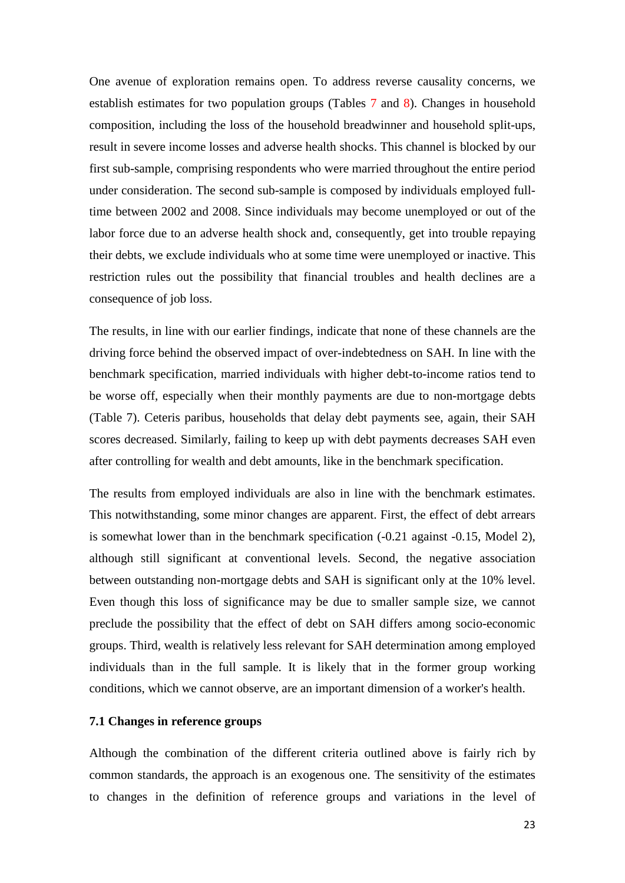One avenue of exploration remains open. To address reverse causality concerns, we establish estimates for two population groups (Tables 7 and 8). Changes in household composition, including the loss of the household breadwinner and household split-ups, result in severe income losses and adverse health shocks. This channel is blocked by our first sub-sample, comprising respondents who were married throughout the entire period under consideration. The second sub-sample is composed by individuals employed fulltime between 2002 and 2008. Since individuals may become unemployed or out of the labor force due to an adverse health shock and, consequently, get into trouble repaying their debts, we exclude individuals who at some time were unemployed or inactive. This restriction rules out the possibility that financial troubles and health declines are a consequence of job loss.

The results, in line with our earlier findings, indicate that none of these channels are the driving force behind the observed impact of over-indebtedness on SAH. In line with the benchmark specification, married individuals with higher debt-to-income ratios tend to be worse off, especially when their monthly payments are due to non-mortgage debts (Table 7). Ceteris paribus, households that delay debt payments see, again, their SAH scores decreased. Similarly, failing to keep up with debt payments decreases SAH even after controlling for wealth and debt amounts, like in the benchmark specification.

The results from employed individuals are also in line with the benchmark estimates. This notwithstanding, some minor changes are apparent. First, the effect of debt arrears is somewhat lower than in the benchmark specification (-0.21 against -0.15, Model 2), although still significant at conventional levels. Second, the negative association between outstanding non-mortgage debts and SAH is significant only at the 10% level. Even though this loss of significance may be due to smaller sample size, we cannot preclude the possibility that the effect of debt on SAH differs among socio-economic groups. Third, wealth is relatively less relevant for SAH determination among employed individuals than in the full sample. It is likely that in the former group working conditions, which we cannot observe, are an important dimension of a worker's health.

#### **7.1 Changes in reference groups**

Although the combination of the different criteria outlined above is fairly rich by common standards, the approach is an exogenous one. The sensitivity of the estimates to changes in the definition of reference groups and variations in the level of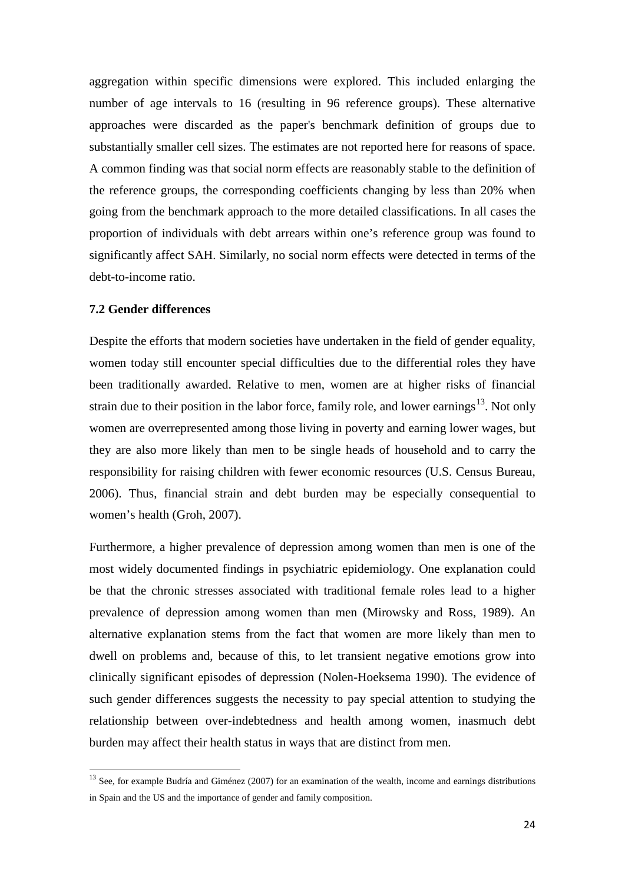aggregation within specific dimensions were explored. This included enlarging the number of age intervals to 16 (resulting in 96 reference groups). These alternative approaches were discarded as the paper's benchmark definition of groups due to substantially smaller cell sizes. The estimates are not reported here for reasons of space. A common finding was that social norm effects are reasonably stable to the definition of the reference groups, the corresponding coefficients changing by less than 20% when going from the benchmark approach to the more detailed classifications. In all cases the proportion of individuals with debt arrears within one's reference group was found to significantly affect SAH. Similarly, no social norm effects were detected in terms of the debt-to-income ratio.

#### **7.2 Gender differences**

Despite the efforts that modern societies have undertaken in the field of gender equality, women today still encounter special difficulties due to the differential roles they have been traditionally awarded. Relative to men, women are at higher risks of financial strain due to their position in the labor force, family role, and lower earnings<sup>[13](#page-23-0)</sup>. Not only women are overrepresented among those living in poverty and earning lower wages, but they are also more likely than men to be single heads of household and to carry the responsibility for raising children with fewer economic resources (U.S. Census Bureau, 2006). Thus, financial strain and debt burden may be especially consequential to women's health (Groh, 2007).

Furthermore, a higher prevalence of depression among women than men is one of the most widely documented findings in psychiatric epidemiology. One explanation could be that the chronic stresses associated with traditional female roles lead to a higher prevalence of depression among women than men (Mirowsky and Ross, 1989). An alternative explanation stems from the fact that women are more likely than men to dwell on problems and, because of this, to let transient negative emotions grow into clinically significant episodes of depression (Nolen-Hoeksema 1990). The evidence of such gender differences suggests the necessity to pay special attention to studying the relationship between over-indebtedness and health among women, inasmuch debt burden may affect their health status in ways that are distinct from men.

<span id="page-25-0"></span><sup>&</sup>lt;sup>13</sup> See, for example Budría and Giménez (2007) for an examination of the wealth, income and earnings distributions in Spain and the US and the importance of gender and family composition.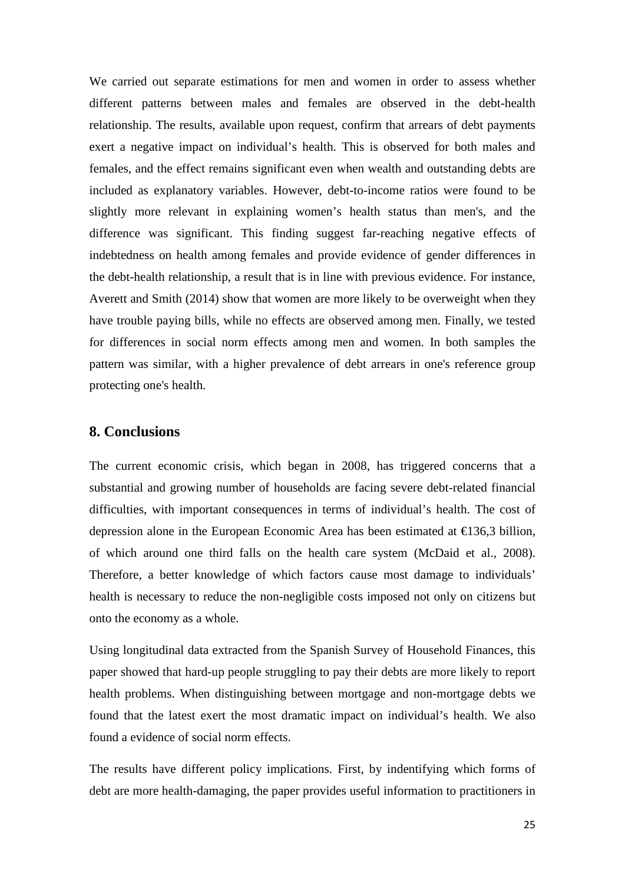We carried out separate estimations for men and women in order to assess whether different patterns between males and females are observed in the debt-health relationship. The results, available upon request, confirm that arrears of debt payments exert a negative impact on individual's health. This is observed for both males and females, and the effect remains significant even when wealth and outstanding debts are included as explanatory variables. However, debt-to-income ratios were found to be slightly more relevant in explaining women's health status than men's, and the difference was significant. This finding suggest far-reaching negative effects of indebtedness on health among females and provide evidence of gender differences in the debt-health relationship, a result that is in line with previous evidence. For instance, Averett and Smith (2014) show that women are more likely to be overweight when they have trouble paying bills, while no effects are observed among men. Finally, we tested for differences in social norm effects among men and women. In both samples the pattern was similar, with a higher prevalence of debt arrears in one's reference group protecting one's health.

## **8. Conclusions**

The current economic crisis, which began in 2008, has triggered concerns that a substantial and growing number of households are facing severe debt-related financial difficulties, with important consequences in terms of individual's health. The cost of depression alone in the European Economic Area has been estimated at €136,3 billion, of which around one third falls on the health care system (McDaid et al., 2008). Therefore, a better knowledge of which factors cause most damage to individuals' health is necessary to reduce the non-negligible costs imposed not only on citizens but onto the economy as a whole.

Using longitudinal data extracted from the Spanish Survey of Household Finances, this paper showed that hard-up people struggling to pay their debts are more likely to report health problems. When distinguishing between mortgage and non-mortgage debts we found that the latest exert the most dramatic impact on individual's health. We also found a evidence of social norm effects.

The results have different policy implications. First, by indentifying which forms of debt are more health-damaging, the paper provides useful information to practitioners in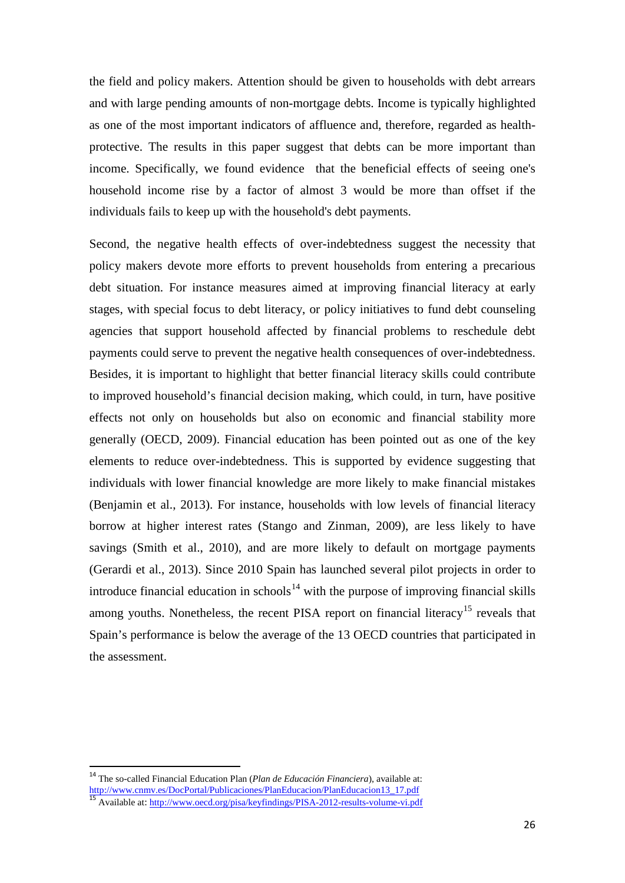the field and policy makers. Attention should be given to households with debt arrears and with large pending amounts of non-mortgage debts. Income is typically highlighted as one of the most important indicators of affluence and, therefore, regarded as healthprotective. The results in this paper suggest that debts can be more important than income. Specifically, we found evidence that the beneficial effects of seeing one's household income rise by a factor of almost 3 would be more than offset if the individuals fails to keep up with the household's debt payments.

Second, the negative health effects of over-indebtedness suggest the necessity that policy makers devote more efforts to prevent households from entering a precarious debt situation. For instance measures aimed at improving financial literacy at early stages, with special focus to debt literacy, or policy initiatives to fund debt counseling agencies that support household affected by financial problems to reschedule debt payments could serve to prevent the negative health consequences of over-indebtedness. Besides, it is important to highlight that better financial literacy skills could contribute to improved household's financial decision making, which could, in turn, have positive effects not only on households but also on economic and financial stability more generally (OECD, 2009). Financial education has been pointed out as one of the key elements to reduce over-indebtedness. This is supported by evidence suggesting that individuals with lower financial knowledge are more likely to make financial mistakes (Benjamin et al., 2013). For instance, households with low levels of financial literacy borrow at higher interest rates (Stango and Zinman, 2009), are less likely to have savings (Smith et al., 2010), and are more likely to default on mortgage payments (Gerardi et al., 2013). Since 2010 Spain has launched several pilot projects in order to introduce financial education in schools<sup>[14](#page-25-0)</sup> with the purpose of improving financial skills among youths. Nonetheless, the recent PISA report on financial literacy<sup>[15](#page-27-0)</sup> reveals that Spain's performance is below the average of the 13 OECD countries that participated in the assessment.

<span id="page-27-0"></span> <sup>14</sup> The so-called Financial Education Plan (*Plan de Educación Financiera*), available at: [http://www.cnmv.es/DocPortal/Publicaciones/PlanEducacion/PlanEducacion13\\_17.pdf](http://www.cnmv.es/DocPortal/Publicaciones/PlanEducacion/PlanEducacion13_17.pdf)<br>15 Available at: <http://www.oecd.org/pisa/keyfindings/PISA-2012-results-volume-vi.pdf>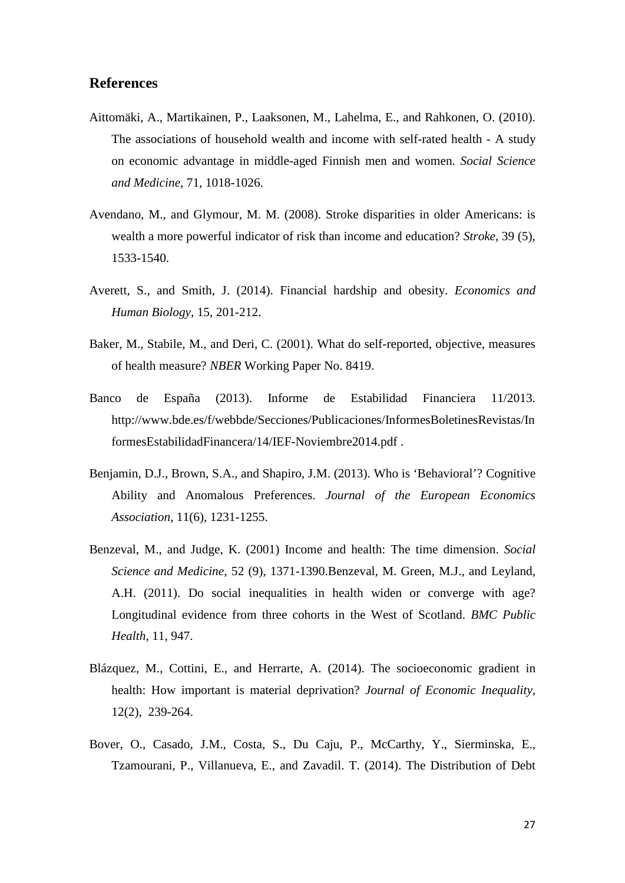### **References**

- Aittomäki, A., Martikainen, P., Laaksonen, M., Lahelma, E., and Rahkonen, O. (2010). The associations of household wealth and income with self-rated health - A study on economic advantage in middle-aged Finnish men and women. *Social Science and Medicine*, 71, 1018-1026.
- Avendano, M., and Glymour, M. M. (2008). Stroke disparities in older Americans: is wealth a more powerful indicator of risk than income and education? *Stroke*, 39 (5), 1533-1540.
- Averett, S., and Smith, J. (2014). Financial hardship and obesity. *Economics and Human Biology*, 15, 201-212.
- Baker, M., Stabile, M., and Deri, C. (2001). What do self-reported, objective, measures of health measure? *NBER* Working Paper No. 8419.
- Banco de España (2013). Informe de Estabilidad Financiera 11/2013. http://www.bde.es/f/webbde/Secciones/Publicaciones/InformesBoletinesRevistas/In formesEstabilidadFinancera/14/IEF-Noviembre2014.pdf .
- Benjamin, D.J., Brown, S.A., and Shapiro, J.M. (2013). Who is 'Behavioral'? Cognitive Ability and Anomalous Preferences. *Journal of the European Economics Association*, 11(6), 1231-1255.
- Benzeval, M., and Judge, K. (2001) Income and health: The time dimension. *Social Science and Medicine*, 52 (9), 1371-1390.Benzeval, M. Green, M.J., and Leyland, A.H. (2011). Do social inequalities in health widen or converge with age? Longitudinal evidence from three cohorts in the West of Scotland. *BMC Public Health*, 11, 947.
- Blázquez, M., Cottini, E., and Herrarte, A. (2014). The socioeconomic gradient in health: How important is material deprivation? *Journal of Economic Inequality*, 12(2), 239-264.
- Bover, O., Casado, J.M., Costa, S., Du Caju, P., McCarthy, Y., Sierminska, E., Tzamourani, P., Villanueva, E., and Zavadil. T. (2014). The Distribution of Debt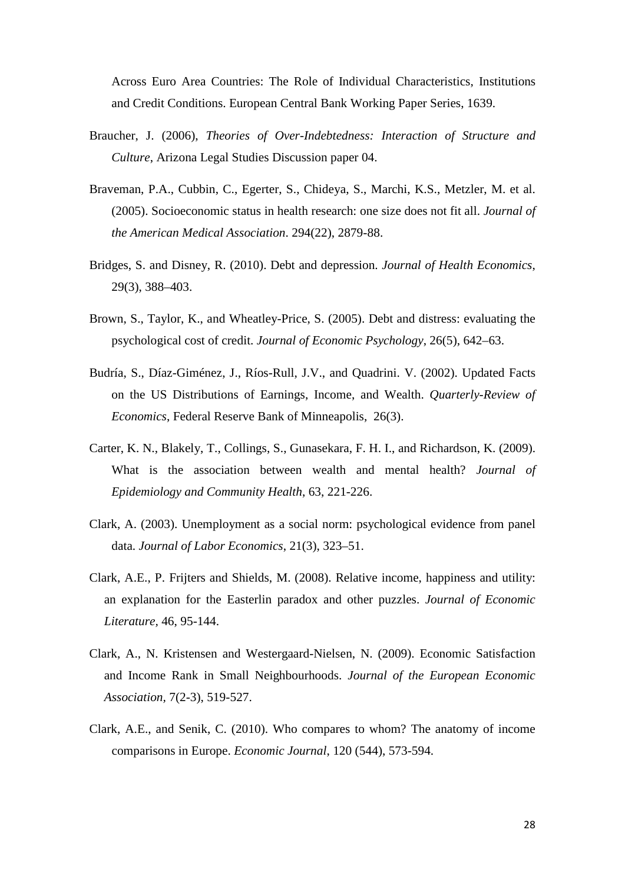Across Euro Area Countries: The Role of Individual Characteristics, Institutions and Credit Conditions. European Central Bank Working Paper Series, 1639.

- Braucher, J. (2006), *Theories of Over-Indebtedness: Interaction of Structure and Culture*, Arizona Legal Studies Discussion paper 04.
- Braveman, P.A., Cubbin, C., Egerter, S., Chideya, S., Marchi, K.S., Metzler, M. et al. (2005). Socioeconomic status in health research: one size does not fit all. *Journal of the American Medical Association*. 294(22), 2879-88.
- Bridges, S. and Disney, R. (2010). Debt and depression. *Journal of Health Economics*, 29(3), 388–403.
- Brown, S., Taylor, K., and Wheatley-Price, S. (2005). Debt and distress: evaluating the psychological cost of credit. *Journal of Economic Psychology*, 26(5), 642–63.
- Budría, S., Díaz-Giménez, J., Ríos-Rull, J.V., and Quadrini. V. (2002). Updated Facts on the US Distributions of Earnings, Income, and Wealth. *Quarterly-Review of Economics*, Federal Reserve Bank of Minneapolis, 26(3).
- Carter, K. N., Blakely, T., Collings, S., Gunasekara, F. H. I., and Richardson, K. (2009). What is the association between wealth and mental health? *Journal of Epidemiology and Community Health*, 63, 221-226.
- Clark, A. (2003). Unemployment as a social norm: psychological evidence from panel data. *Journal of Labor Economics*, 21(3), 323–51.
- Clark, A.E., P. Frijters and Shields, M. (2008). Relative income, happiness and utility: an explanation for the Easterlin paradox and other puzzles. *Journal of Economic Literature,* 46, 95-144.
- Clark, A., N. Kristensen and Westergaard-Nielsen, N. (2009). Economic Satisfaction and Income Rank in Small Neighbourhoods. *Journal of the European Economic Association,* 7(2-3), 519-527.
- Clark, A.E., and Senik, C. (2010). Who compares to whom? The anatomy of income comparisons in Europe. *Economic Journal*, 120 (544), 573-594.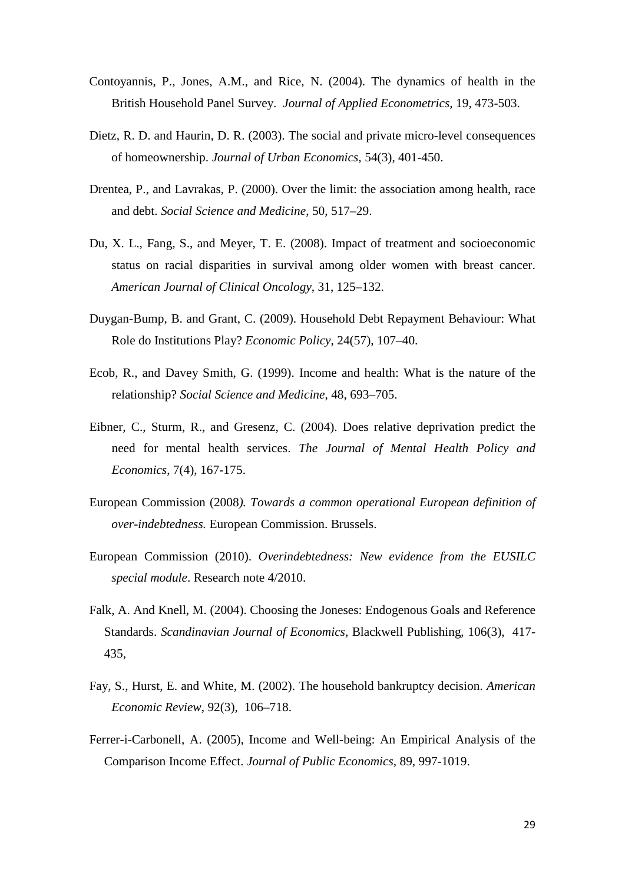- Contoyannis, P., Jones, A.M., and Rice, N. (2004). The dynamics of health in the British Household Panel Survey. *Journal of Applied Econometrics*, 19, 473-503.
- Dietz, R. D. and Haurin, D. R. (2003). The social and private micro-level consequences of homeownership. *Journal of Urban Economics,* 54(3), 401-450.
- Drentea, P., and Lavrakas, P. (2000). Over the limit: the association among health, race and debt. *Social Science and Medicine*, 50, 517–29.
- Du, X. L., Fang, S., and Meyer, T. E. (2008). Impact of treatment and socioeconomic status on racial disparities in survival among older women with breast cancer. *American Journal of Clinical Oncology*, 31, 125–132.
- Duygan-Bump, B. and Grant, C. (2009). Household Debt Repayment Behaviour: What Role do Institutions Play? *Economic Policy*, 24(57), 107–40.
- Ecob, R., and Davey Smith, G. (1999). Income and health: What is the nature of the relationship? *Social Science and Medicine*, 48, 693–705.
- Eibner, C., Sturm, R., and Gresenz, C. (2004). Does relative deprivation predict the need for mental health services. *The Journal of Mental Health Policy and Economics*, 7(4), 167-175.
- European Commission (2008*). Towards a common operational European definition of over-indebtedness.* European Commission. Brussels.
- European Commission (2010). *Overindebtedness: New evidence from the EUSILC special module*. Research note 4/2010.
- Falk, A. And Knell, M. (2004). Choosing the Joneses: Endogenous Goals and Reference Standards. *Scandinavian Journal of Economics*, Blackwell Publishing, 106(3), 417- 435,
- Fay, S., Hurst, E. and White, M. (2002). The household bankruptcy decision. *American Economic Review*, 92(3), 106–718.
- Ferrer-i-Carbonell, A. (2005), Income and Well-being: An Empirical Analysis of the Comparison Income Effect. *Journal of Public Economics,* 89, 997-1019.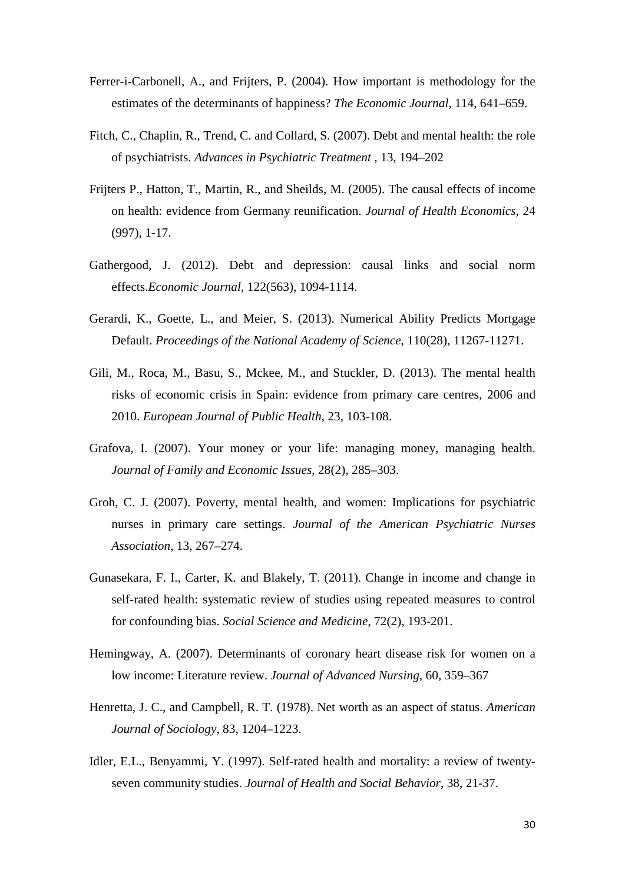- Ferrer-i-Carbonell, A., and Frijters, P. (2004). How important is methodology for the estimates of the determinants of happiness? *The Economic Journal*, 114, 641–659.
- Fitch, C., Chaplin, R., Trend, C. and Collard, S. (2007). Debt and mental health: the role of psychiatrists. *Advances in Psychiatric Treatment* , 13, 194–202
- Frijters P., Hatton, T., Martin, R., and Sheilds, M. (2005). The causal effects of income on health: evidence from Germany reunification. *Journal of Health Economics*, 24 (997), 1-17.
- Gathergood, J. (2012). Debt and depression: causal links and social norm effects.*Economic Journal*, 122(563), 1094-1114.
- Gerardi, K., Goette, L., and Meier, S. (2013). Numerical Ability Predicts Mortgage Default. *Proceedings of the National Academy of Science*, 110(28), 11267-11271.
- Gili, M., Roca, M., Basu, S., Mckee, M., and Stuckler, D. (2013). The mental health risks of economic crisis in Spain: evidence from primary care centres, 2006 and 2010. *European Journal of Public Health*, 23, 103-108.
- Grafova, I. (2007). Your money or your life: managing money, managing health. *Journal of Family and Economic Issues*, 28(2), 285–303.
- Groh, C. J. (2007). Poverty, mental health, and women: Implications for psychiatric nurses in primary care settings. *Journal of the American Psychiatric Nurses Association*, 13, 267–274.
- Gunasekara, F. I., Carter, K. and Blakely, T. (2011). Change in income and change in self-rated health: systematic review of studies using repeated measures to control for confounding bias. *Social Science and Medicine*, 72(2), 193-201.
- Hemingway, A. (2007). Determinants of coronary heart disease risk for women on a low income: Literature review. *Journal of Advanced Nursing*, 60, 359–367
- Henretta, J. C., and Campbell, R. T. (1978). Net worth as an aspect of status. *American Journal of Sociology*, 83, 1204–1223.
- Idler, E.L., Benyammi, Y. (1997). Self-rated health and mortality: a review of twentyseven community studies. *Journal of Health and Social Behavior*, 38, 21-37.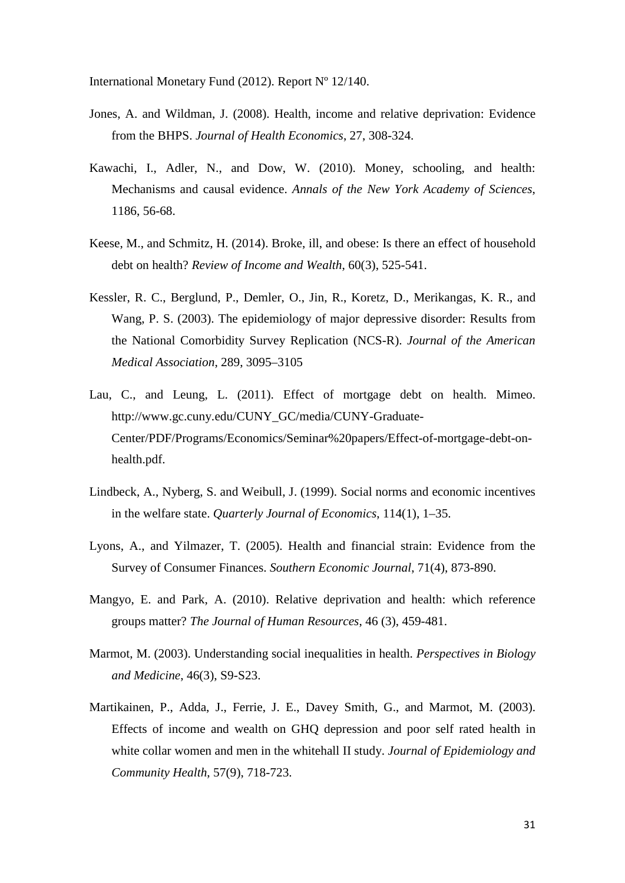International Monetary Fund (2012). Report Nº 12/140.

- Jones, A. and Wildman, J. (2008). Health, income and relative deprivation: Evidence from the BHPS. *Journal of Health Economics*, 27, 308-324.
- Kawachi, I., Adler, N., and Dow, W. (2010). Money, schooling, and health: Mechanisms and causal evidence. *Annals of the New York Academy of Sciences*, 1186, 56-68.
- Keese, M., and Schmitz, H. (2014). Broke, ill, and obese: Is there an effect of household debt on health? *Review of Income and Wealth*, 60(3), 525-541.
- Kessler, R. C., Berglund, P., Demler, O., Jin, R., Koretz, D., Merikangas, K. R., and Wang, P. S. (2003). The epidemiology of major depressive disorder: Results from the National Comorbidity Survey Replication (NCS-R). *Journal of the American Medical Association*, 289, 3095–3105
- Lau, C., and Leung, L. (2011). Effect of mortgage debt on health. Mimeo. [http://www.gc.cuny.edu/CUNY\\_GC/media/CUNY-Graduate-](http://www.gc.cuny.edu/CUNY_GC/media/CUNY-Graduate-Center/PDF/Programs/Economics/Seminar%20papers/Effect-of-mortgage-debt-on-health.pdf)[Center/PDF/Programs/Economics/Seminar%20papers/Effect-of-mortgage-debt-on](http://www.gc.cuny.edu/CUNY_GC/media/CUNY-Graduate-Center/PDF/Programs/Economics/Seminar%20papers/Effect-of-mortgage-debt-on-health.pdf)[health.pdf.](http://www.gc.cuny.edu/CUNY_GC/media/CUNY-Graduate-Center/PDF/Programs/Economics/Seminar%20papers/Effect-of-mortgage-debt-on-health.pdf)
- Lindbeck, A., Nyberg, S. and Weibull, J. (1999). Social norms and economic incentives in the welfare state. *Quarterly Journal of Economics*, 114(1), 1–35.
- Lyons, A., and Yilmazer, T. (2005). Health and financial strain: Evidence from the Survey of Consumer Finances. *Southern Economic Journal*, 71(4), 873-890.
- Mangyo, E. and Park, A. (2010). Relative deprivation and health: which reference groups matter? *The Journal of Human Resources*, 46 (3), 459-481.
- Marmot, M. (2003). Understanding social inequalities in health. *Perspectives in Biology and Medicine*, 46(3), S9-S23.
- Martikainen, P., Adda, J., Ferrie, J. E., Davey Smith, G., and Marmot, M. (2003). Effects of income and wealth on GHQ depression and poor self rated health in white collar women and men in the whitehall II study. *Journal of Epidemiology and Community Health*, 57(9), 718-723.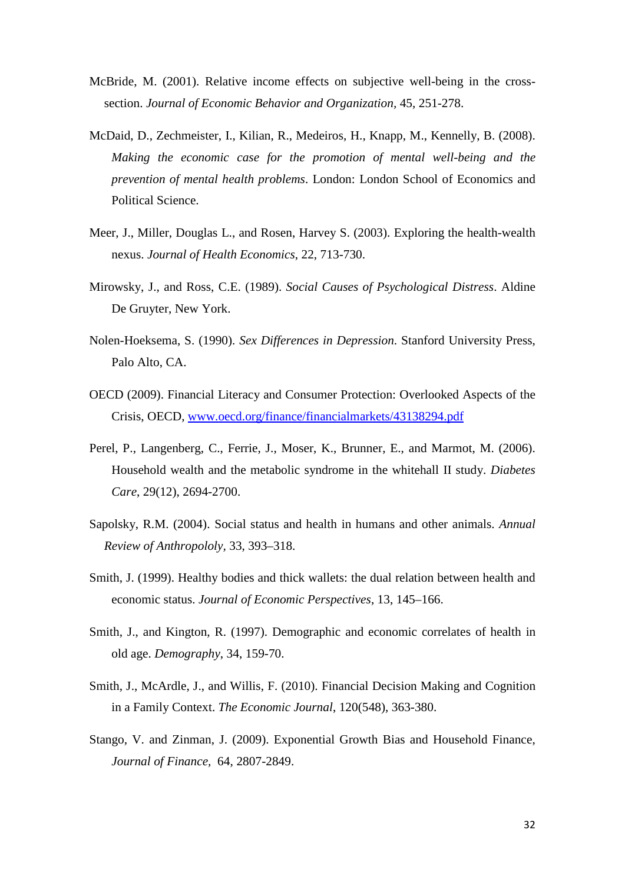- McBride, M. (2001). Relative income effects on subjective well-being in the crosssection. *Journal of Economic Behavior and Organization,* 45, 251-278.
- McDaid, D., Zechmeister, I., Kilian, R., Medeiros, H., Knapp, M., Kennelly, B. (2008). *Making the economic case for the promotion of mental well-being and the prevention of mental health problems*. London: London School of Economics and Political Science.
- Meer, J., Miller, Douglas L., and Rosen, Harvey S. (2003). Exploring the health-wealth nexus. *Journal of Health Economics*, 22, 713-730.
- Mirowsky, J., and Ross, C.E. (1989). *Social Causes of Psychological Distress*. Aldine De Gruyter, New York.
- Nolen-Hoeksema, S. (1990). *Sex Differences in Depression*. Stanford University Press, Palo Alto, CA.
- OECD (2009). Financial Literacy and Consumer Protection: Overlooked Aspects of the Crisis, OECD, [www.oecd.org/finance/financialmarkets/43138294.pdf](http://www.oecd.org/finance/financialmarkets/43138294.pdf)
- Perel, P., Langenberg, C., Ferrie, J., Moser, K., Brunner, E., and Marmot, M. (2006). Household wealth and the metabolic syndrome in the whitehall II study. *Diabetes Care*, 29(12), 2694-2700.
- Sapolsky, R.M. (2004). Social status and health in humans and other animals. *Annual Review of Anthropololy,* 33, 393–318.
- Smith, J. (1999). Healthy bodies and thick wallets: the dual relation between health and economic status. *Journal of Economic Perspectives*, 13, 145–166.
- Smith, J., and Kington, R. (1997). Demographic and economic correlates of health in old age. *Demography*, 34, 159-70.
- Smith, J., McArdle, J., and Willis, F. (2010). Financial Decision Making and Cognition in a Family Context. *The Economic Journal*, 120(548), 363-380.
- Stango, V. and Zinman, J. (2009). Exponential Growth Bias and Household Finance, *Journal of Finance,* 64, 2807-2849.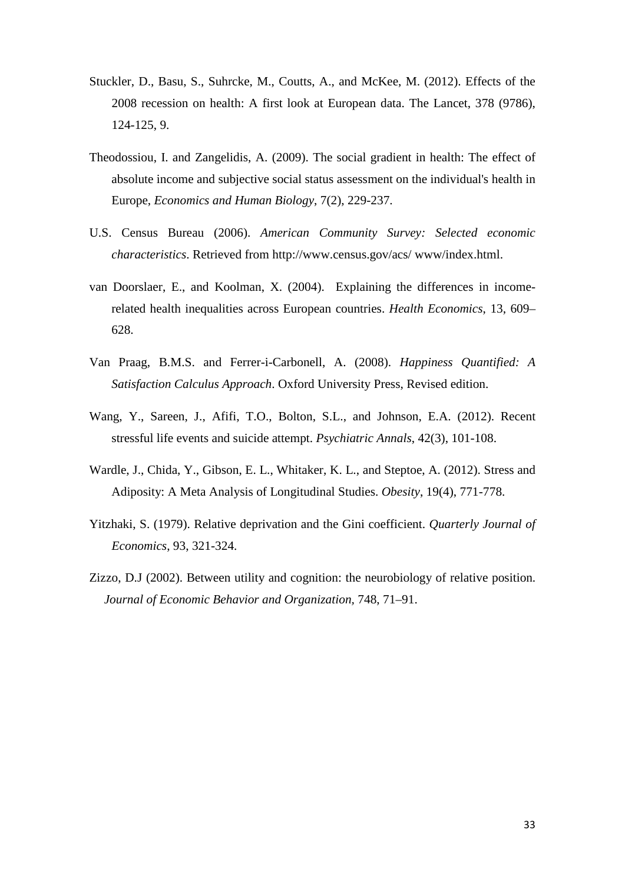- Stuckler, D., Basu, S., Suhrcke, M., Coutts, A., and McKee, M. (2012). Effects of the 2008 recession on health: A first look at European data. The Lancet, 378 (9786), 124-125, 9.
- Theodossiou, I. and Zangelidis, A. (2009). The social gradient in health: The effect of absolute income and subjective social status assessment on the individual's health in Europe, *Economics and Human Biology*, 7(2), 229-237.
- U.S. Census Bureau (2006). *American Community Survey: Selected economic characteristics*. Retrieved from http://www.census.gov/acs/ www/index.html.
- van Doorslaer, E., and Koolman, X. (2004). Explaining the differences in incomerelated health inequalities across European countries. *Health Economics*, 13, 609– 628.
- Van Praag, B.M.S. and Ferrer-i-Carbonell, A. (2008). *Happiness Quantified: A Satisfaction Calculus Approach*. Oxford University Press, Revised edition.
- Wang, Y., Sareen, J., Afifi, T.O., Bolton, S.L., and Johnson, E.A. (2012). Recent stressful life events and suicide attempt. *Psychiatric Annals*, 42(3), 101-108.
- Wardle, J., Chida, Y., Gibson, E. L., Whitaker, K. L., and Steptoe, A. (2012). Stress and Adiposity: A Meta Analysis of Longitudinal Studies. *Obesity*, 19(4), 771-778.
- Yitzhaki, S. (1979). Relative deprivation and the Gini coefficient. *Quarterly Journal of Economics*, 93, 321-324.
- Zizzo, D.J (2002). Between utility and cognition: the neurobiology of relative position. *Journal of Economic Behavior and Organization,* 748, 71–91.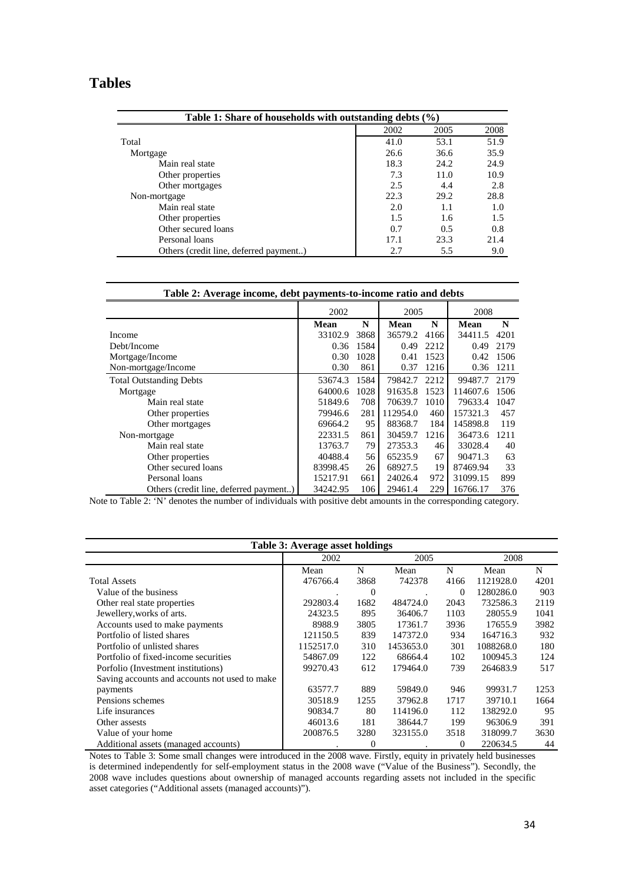# **Tables**

| Table 1: Share of households with outstanding debts $(\% )$ |      |      |      |  |  |  |  |  |  |  |  |  |  |  |
|-------------------------------------------------------------|------|------|------|--|--|--|--|--|--|--|--|--|--|--|
|                                                             | 2002 | 2005 | 2008 |  |  |  |  |  |  |  |  |  |  |  |
| Total                                                       | 41.0 | 53.1 | 51.9 |  |  |  |  |  |  |  |  |  |  |  |
| Mortgage                                                    | 26.6 | 36.6 | 35.9 |  |  |  |  |  |  |  |  |  |  |  |
| Main real state                                             | 18.3 | 24.2 | 24.9 |  |  |  |  |  |  |  |  |  |  |  |
| Other properties                                            | 7.3  | 11.0 | 10.9 |  |  |  |  |  |  |  |  |  |  |  |
| Other mortgages                                             | 2.5  | 4.4  | 2.8  |  |  |  |  |  |  |  |  |  |  |  |
| Non-mortgage                                                | 22.3 | 29.2 | 28.8 |  |  |  |  |  |  |  |  |  |  |  |
| Main real state                                             | 2.0  | 1.1  | 1.0  |  |  |  |  |  |  |  |  |  |  |  |
| Other properties                                            | 1.5  | 1.6  | 1.5  |  |  |  |  |  |  |  |  |  |  |  |
| Other secured loans                                         | 0.7  | 0.5  | 0.8  |  |  |  |  |  |  |  |  |  |  |  |
| Personal loans                                              | 17.1 | 23.3 | 21.4 |  |  |  |  |  |  |  |  |  |  |  |
| Others (credit line, deferred payment)                      | 2.7  | 5.5  | 9.0  |  |  |  |  |  |  |  |  |  |  |  |

| Table 2: Average income, debt payments-to-income ratio and debts |             |      |             |      |          |      |
|------------------------------------------------------------------|-------------|------|-------------|------|----------|------|
|                                                                  | 2002        |      | 2005        |      | 2008     |      |
|                                                                  | <b>Mean</b> | N    | <b>Mean</b> | N    | Mean     | N    |
| Income                                                           | 33102.9     | 3868 | 36579.2     | 4166 | 34411.5  | 4201 |
| Debt/Income                                                      | 0.36        | 1584 | 0.49        | 2212 | 0.49     | 2179 |
| Mortgage/Income                                                  | 0.30        | 1028 | 0.41        | 1523 | 0.42     | 1506 |
| Non-mortgage/Income                                              | 0.30        | 861  | 0.37        | 1216 | 0.36     | 1211 |
| <b>Total Outstanding Debts</b>                                   | 53674.3     | 1584 | 79842.7     | 2212 | 99487.7  | 2179 |
| Mortgage                                                         | 64000.6     | 1028 | 91635.8     | 1523 | 114607.6 | 1506 |
| Main real state                                                  | 51849.6     | 708  | 70639.7     | 1010 | 79633.4  | 1047 |
| Other properties                                                 | 79946.6     | 281  | 112954.0    | 460  | 157321.3 | 457  |
| Other mortgages                                                  | 69664.2     | 95   | 88368.7     | 184  | 145898.8 | 119  |
| Non-mortgage                                                     | 22331.5     | 861  | 30459.7     | 1216 | 36473.6  | 1211 |
| Main real state                                                  | 13763.7     | 79   | 27353.3     | 46   | 33028.4  | 40   |
| Other properties                                                 | 40488.4     | 56   | 65235.9     | 67   | 90471.3  | 63   |
| Other secured loans                                              | 83998.45    | 26   | 68927.5     | 19   | 87469.94 | 33   |
| Personal loans                                                   | 15217.91    | 661  | 24026.4     | 972  | 31099.15 | 899  |
| Others (credit line, deferred payment)                           | 34242.95    | 106  | 29461.4     | 229  | 16766.17 | 376  |

Note to Table 2: 'N' denotes the number of individuals with positive debt amounts in the corresponding category.

|                                               | Table 3: Average asset holdings |                |           |          |           |      |
|-----------------------------------------------|---------------------------------|----------------|-----------|----------|-----------|------|
|                                               | 2002                            |                | 2005      |          | 2008      |      |
|                                               | Mean                            | N              | Mean      | N        | Mean      | N    |
| <b>Total Assets</b>                           | 476766.4                        | 3868           | 742378    | 4166     | 1121928.0 | 4201 |
| Value of the business                         |                                 | 0              |           | $\Omega$ | 1280286.0 | 903  |
| Other real state properties                   | 292803.4                        | 1682           | 484724.0  | 2043     | 732586.3  | 2119 |
| Jewellery, works of arts.                     | 24323.5                         | 895            | 36406.7   | 1103     | 28055.9   | 1041 |
| Accounts used to make payments                | 8988.9                          | 3805           | 17361.7   | 3936     | 17655.9   | 3982 |
| Portfolio of listed shares                    | 121150.5                        | 839            | 147372.0  | 934      | 164716.3  | 932  |
| Portfolio of unlisted shares                  | 1152517.0                       | 310            | 1453653.0 | 301      | 1088268.0 | 180  |
| Portfolio of fixed-income securities          | 54867.09                        | 122            | 68664.4   | 102      | 100945.3  | 124  |
| Porfolio (Investment institutions)            | 99270.43                        | 612            | 179464.0  | 739      | 264683.9  | 517  |
| Saving accounts and accounts not used to make |                                 |                |           |          |           |      |
| payments                                      | 63577.7                         | 889            | 59849.0   | 946      | 99931.7   | 1253 |
| Pensions schemes                              | 30518.9                         | 1255           | 37962.8   | 1717     | 39710.1   | 1664 |
| Life insurances                               | 90834.7                         | 80             | 114196.0  | 112      | 138292.0  | 95   |
| Other assests                                 | 46013.6                         | 181            | 38644.7   | 199      | 96306.9   | 391  |
| Value of your home                            | 200876.5                        | 3280           | 323155.0  | 3518     | 318099.7  | 3630 |
| Additional assets (managed accounts)          |                                 | $\overline{0}$ |           | $\Omega$ | 220634.5  | 44   |

Notes to Table 3: Some small changes were introduced in the 2008 wave. Firstly, equity in privately held businesses is determined independently for self-employment status in the 2008 wave ("Value of the Business"). Secondly, the 2008 wave includes questions about ownership of managed accounts regarding assets not included in the specific asset categories ("Additional assets (managed accounts)").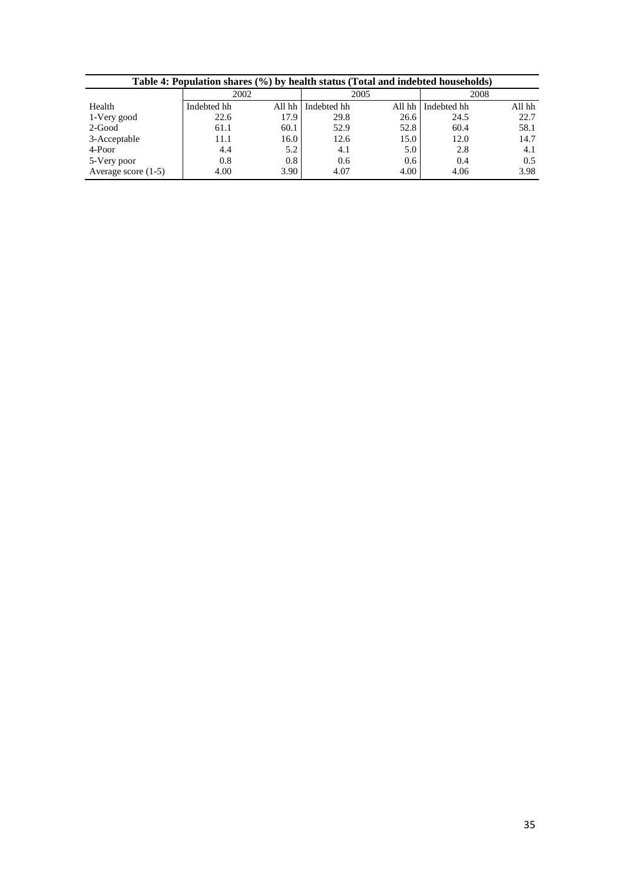|                       | Table 4: Population shares (%) by health status (Total and indebted households) |      |                    |       |             |        |  |  |  |  |  |  |  |  |  |
|-----------------------|---------------------------------------------------------------------------------|------|--------------------|-------|-------------|--------|--|--|--|--|--|--|--|--|--|
|                       | 2002                                                                            |      | 2005               |       |             | 2008   |  |  |  |  |  |  |  |  |  |
| Health                | Indebted hh                                                                     |      | All hh Indebted hh | Allhh | Indebted hh | All hh |  |  |  |  |  |  |  |  |  |
| 1-Very good           | 22.6                                                                            | 17.9 | 29.8               | 26.6  | 24.5        | 22.7   |  |  |  |  |  |  |  |  |  |
| 2-Good                | 61.1                                                                            | 60.1 | 52.9               | 52.8  | 60.4        | 58.1   |  |  |  |  |  |  |  |  |  |
| 3-Acceptable          | 11.1                                                                            | 16.0 | 12.6               | 15.0  | 12.0        | 14.7   |  |  |  |  |  |  |  |  |  |
| 4-Poor                | 4.4                                                                             | 5.2  | 4.1                | 5.0   | 2.8         | 4.1    |  |  |  |  |  |  |  |  |  |
| 5-Very poor           | 0.8                                                                             | 0.8  | 0.6                | 0.6   | 0.4         | 0.5    |  |  |  |  |  |  |  |  |  |
| Average score $(1-5)$ | 4.00                                                                            | 3.90 | 4.07               | 4.00  | 4.06        | 3.98   |  |  |  |  |  |  |  |  |  |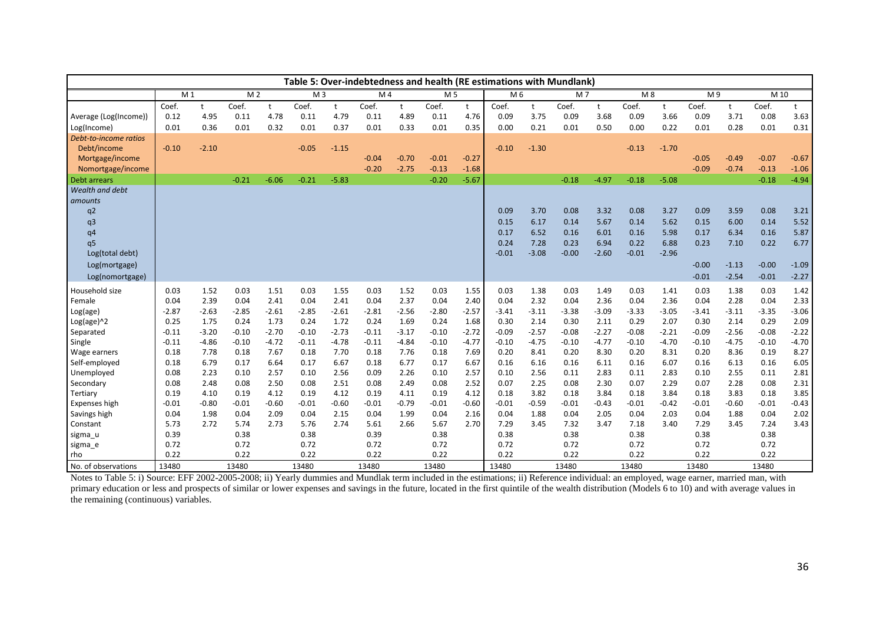|                                                                                                                                                                                      |                                                                                                                  |                                                                                                                  |                                                                                                                  |                                                                                                                  |                                                                                                                  |                                                                                                                  |                                                                                                                  |                                                                                                                  |                                                                                                                  |                                                                                                                  | Table 5: Over-indebtedness and health (RE estimations with Mundlank)                                             |                                                                                                                  |                                                                                                                  |                                                                                                                  |                                                                                                                  |                                                                                                                  |                                                                                                                  |                                                                                                                  |                                                                                                                  |                                                                                                                  |
|--------------------------------------------------------------------------------------------------------------------------------------------------------------------------------------|------------------------------------------------------------------------------------------------------------------|------------------------------------------------------------------------------------------------------------------|------------------------------------------------------------------------------------------------------------------|------------------------------------------------------------------------------------------------------------------|------------------------------------------------------------------------------------------------------------------|------------------------------------------------------------------------------------------------------------------|------------------------------------------------------------------------------------------------------------------|------------------------------------------------------------------------------------------------------------------|------------------------------------------------------------------------------------------------------------------|------------------------------------------------------------------------------------------------------------------|------------------------------------------------------------------------------------------------------------------|------------------------------------------------------------------------------------------------------------------|------------------------------------------------------------------------------------------------------------------|------------------------------------------------------------------------------------------------------------------|------------------------------------------------------------------------------------------------------------------|------------------------------------------------------------------------------------------------------------------|------------------------------------------------------------------------------------------------------------------|------------------------------------------------------------------------------------------------------------------|------------------------------------------------------------------------------------------------------------------|------------------------------------------------------------------------------------------------------------------|
|                                                                                                                                                                                      | M <sub>1</sub>                                                                                                   |                                                                                                                  | M <sub>2</sub>                                                                                                   |                                                                                                                  | M <sub>3</sub>                                                                                                   |                                                                                                                  | M <sub>4</sub>                                                                                                   |                                                                                                                  | M 5                                                                                                              |                                                                                                                  | M 6                                                                                                              |                                                                                                                  | M7                                                                                                               |                                                                                                                  | M8                                                                                                               |                                                                                                                  | M9                                                                                                               |                                                                                                                  | M 10                                                                                                             |                                                                                                                  |
| Average (Log(Income))<br>Log(Income)                                                                                                                                                 | Coef.<br>0.12<br>0.01                                                                                            | $^{\rm +}$<br>4.95<br>0.36                                                                                       | Coef.<br>0.11<br>0.01                                                                                            | t<br>4.78<br>0.32                                                                                                | Coef.<br>0.11<br>0.01                                                                                            | t<br>4.79<br>0.37                                                                                                | Coef.<br>0.11<br>0.01                                                                                            | $^{\dagger}$<br>4.89<br>0.33                                                                                     | Coef.<br>0.11<br>0.01                                                                                            | t<br>4.76<br>0.35                                                                                                | Coef.<br>0.09<br>0.00                                                                                            | t<br>3.75<br>0.21                                                                                                | Coef.<br>0.09<br>0.01                                                                                            | t<br>3.68<br>0.50                                                                                                | Coef.<br>0.09<br>0.00                                                                                            | t<br>3.66<br>0.22                                                                                                | Coef.<br>0.09<br>0.01                                                                                            | t<br>3.71<br>0.28                                                                                                | Coef.<br>0.08<br>0.01                                                                                            | t<br>3.63<br>0.31                                                                                                |
| Debt-to-income ratios<br>Debt/income<br>Mortgage/income<br>Nomortgage/income<br>Debt arrears<br>Wealth and debt                                                                      | $-0.10$                                                                                                          | $-2.10$                                                                                                          | $-0.21$                                                                                                          | $-6.06$                                                                                                          | $-0.05$<br>$-0.21$                                                                                               | $-1.15$<br>$-5.83$                                                                                               | $-0.04$<br>$-0.20$                                                                                               | $-0.70$<br>$-2.75$                                                                                               | $-0.01$<br>$-0.13$<br>$-0.20$                                                                                    | $-0.27$<br>$-1.68$<br>$-5.67$                                                                                    | $-0.10$                                                                                                          | $-1.30$                                                                                                          | $-0.18$                                                                                                          | $-4.97$                                                                                                          | $-0.13$<br>$-0.18$                                                                                               | $-1.70$<br>$-5.08$                                                                                               | $-0.05$<br>$-0.09$                                                                                               | $-0.49$<br>$-0.74$                                                                                               | $-0.07$<br>$-0.13$<br>$-0.18$                                                                                    | $-0.67$<br>$-1.06$<br>$-4.94$                                                                                    |
| amounts<br>q2<br>q3<br>q <sub>4</sub><br>q <sub>5</sub><br>Log(total debt)<br>Log(mortgage)<br>Log(nomortgage)                                                                       |                                                                                                                  |                                                                                                                  |                                                                                                                  |                                                                                                                  |                                                                                                                  |                                                                                                                  |                                                                                                                  |                                                                                                                  |                                                                                                                  |                                                                                                                  | 0.09<br>0.15<br>0.17<br>0.24<br>$-0.01$                                                                          | 3.70<br>6.17<br>6.52<br>7.28<br>$-3.08$                                                                          | 0.08<br>0.14<br>0.16<br>0.23<br>$-0.00$                                                                          | 3.32<br>5.67<br>6.01<br>6.94<br>$-2.60$                                                                          | 0.08<br>0.14<br>0.16<br>0.22<br>$-0.01$                                                                          | 3.27<br>5.62<br>5.98<br>6.88<br>$-2.96$                                                                          | 0.09<br>0.15<br>0.17<br>0.23<br>$-0.00$<br>$-0.01$                                                               | 3.59<br>6.00<br>6.34<br>7.10<br>$-1.13$<br>$-2.54$                                                               | 0.08<br>0.14<br>0.16<br>0.22<br>$-0.00$<br>$-0.01$                                                               | 3.21<br>5.52<br>5.87<br>6.77<br>$-1.09$<br>$-2.27$                                                               |
| Household size<br>Female<br>Log(age)<br>$Log(age)^2$<br>Separated<br>Single<br>Wage earners<br>Self-employed<br>Unemployed<br>Secondary<br>Tertiary<br>Expenses high<br>Savings high | 0.03<br>0.04<br>$-2.87$<br>0.25<br>$-0.11$<br>$-0.11$<br>0.18<br>0.18<br>0.08<br>0.08<br>0.19<br>$-0.01$<br>0.04 | 1.52<br>2.39<br>$-2.63$<br>1.75<br>$-3.20$<br>$-4.86$<br>7.78<br>6.79<br>2.23<br>2.48<br>4.10<br>$-0.80$<br>1.98 | 0.03<br>0.04<br>$-2.85$<br>0.24<br>$-0.10$<br>$-0.10$<br>0.18<br>0.17<br>0.10<br>0.08<br>0.19<br>$-0.01$<br>0.04 | 1.51<br>2.41<br>$-2.61$<br>1.73<br>$-2.70$<br>$-4.72$<br>7.67<br>6.64<br>2.57<br>2.50<br>4.12<br>$-0.60$<br>2.09 | 0.03<br>0.04<br>$-2.85$<br>0.24<br>$-0.10$<br>$-0.11$<br>0.18<br>0.17<br>0.10<br>0.08<br>0.19<br>$-0.01$<br>0.04 | 1.55<br>2.41<br>$-2.61$<br>1.72<br>$-2.73$<br>$-4.78$<br>7.70<br>6.67<br>2.56<br>2.51<br>4.12<br>$-0.60$<br>2.15 | 0.03<br>0.04<br>$-2.81$<br>0.24<br>$-0.11$<br>$-0.11$<br>0.18<br>0.18<br>0.09<br>0.08<br>0.19<br>$-0.01$<br>0.04 | 1.52<br>2.37<br>$-2.56$<br>1.69<br>$-3.17$<br>$-4.84$<br>7.76<br>6.77<br>2.26<br>2.49<br>4.11<br>$-0.79$<br>1.99 | 0.03<br>0.04<br>$-2.80$<br>0.24<br>$-0.10$<br>$-0.10$<br>0.18<br>0.17<br>0.10<br>0.08<br>0.19<br>$-0.01$<br>0.04 | 1.55<br>2.40<br>$-2.57$<br>1.68<br>$-2.72$<br>$-4.77$<br>7.69<br>6.67<br>2.57<br>2.52<br>4.12<br>$-0.60$<br>2.16 | 0.03<br>0.04<br>$-3.41$<br>0.30<br>$-0.09$<br>$-0.10$<br>0.20<br>0.16<br>0.10<br>0.07<br>0.18<br>$-0.01$<br>0.04 | 1.38<br>2.32<br>$-3.11$<br>2.14<br>$-2.57$<br>$-4.75$<br>8.41<br>6.16<br>2.56<br>2.25<br>3.82<br>$-0.59$<br>1.88 | 0.03<br>0.04<br>$-3.38$<br>0.30<br>$-0.08$<br>$-0.10$<br>0.20<br>0.16<br>0.11<br>0.08<br>0.18<br>$-0.01$<br>0.04 | 1.49<br>2.36<br>$-3.09$<br>2.11<br>$-2.27$<br>$-4.77$<br>8.30<br>6.11<br>2.83<br>2.30<br>3.84<br>$-0.43$<br>2.05 | 0.03<br>0.04<br>$-3.33$<br>0.29<br>$-0.08$<br>$-0.10$<br>0.20<br>0.16<br>0.11<br>0.07<br>0.18<br>$-0.01$<br>0.04 | 1.41<br>2.36<br>$-3.05$<br>2.07<br>$-2.21$<br>$-4.70$<br>8.31<br>6.07<br>2.83<br>2.29<br>3.84<br>$-0.42$<br>2.03 | 0.03<br>0.04<br>$-3.41$<br>0.30<br>$-0.09$<br>$-0.10$<br>0.20<br>0.16<br>0.10<br>0.07<br>0.18<br>$-0.01$<br>0.04 | 1.38<br>2.28<br>$-3.11$<br>2.14<br>$-2.56$<br>$-4.75$<br>8.36<br>6.13<br>2.55<br>2.28<br>3.83<br>$-0.60$<br>1.88 | 0.03<br>0.04<br>$-3.35$<br>0.29<br>$-0.08$<br>$-0.10$<br>0.19<br>0.16<br>0.11<br>0.08<br>0.18<br>$-0.01$<br>0.04 | 1.42<br>2.33<br>$-3.06$<br>2.09<br>$-2.22$<br>$-4.70$<br>8.27<br>6.05<br>2.81<br>2.31<br>3.85<br>$-0.43$<br>2.02 |
| Constant<br>sigma_u<br>sigma_e<br>rho<br>No. of observations                                                                                                                         | 5.73<br>0.39<br>0.72<br>0.22<br>13480                                                                            | 2.72                                                                                                             | 5.74<br>0.38<br>0.72<br>0.22<br>13480                                                                            | 2.73                                                                                                             | 5.76<br>0.38<br>0.72<br>0.22<br>13480                                                                            | 2.74                                                                                                             | 5.61<br>0.39<br>0.72<br>0.22<br>13480                                                                            | 2.66                                                                                                             | 5.67<br>0.38<br>0.72<br>0.22<br>13480                                                                            | 2.70                                                                                                             | 7.29<br>0.38<br>0.72<br>0.22<br>13480                                                                            | 3.45                                                                                                             | 7.32<br>0.38<br>0.72<br>0.22<br>13480                                                                            | 3.47                                                                                                             | 7.18<br>0.38<br>0.72<br>0.22<br>13480                                                                            | 3.40                                                                                                             | 7.29<br>0.38<br>0.72<br>0.22<br>13480                                                                            | 3.45                                                                                                             | 7.24<br>0.38<br>0.72<br>0.22<br>13480                                                                            | 3.43                                                                                                             |

Notes to Table 5: i) Source: EFF 2002-2005-2008; ii) Yearly dummies and Mundlak term included in the estimations; ii) Reference individual: an employed, wage earner, married man, with primary education or less and prospects of similar or lower expenses and savings in the future, located in the first quintile of the wealth distribution (Models 6 to 10) and with average values in the remaining (continuous) variables.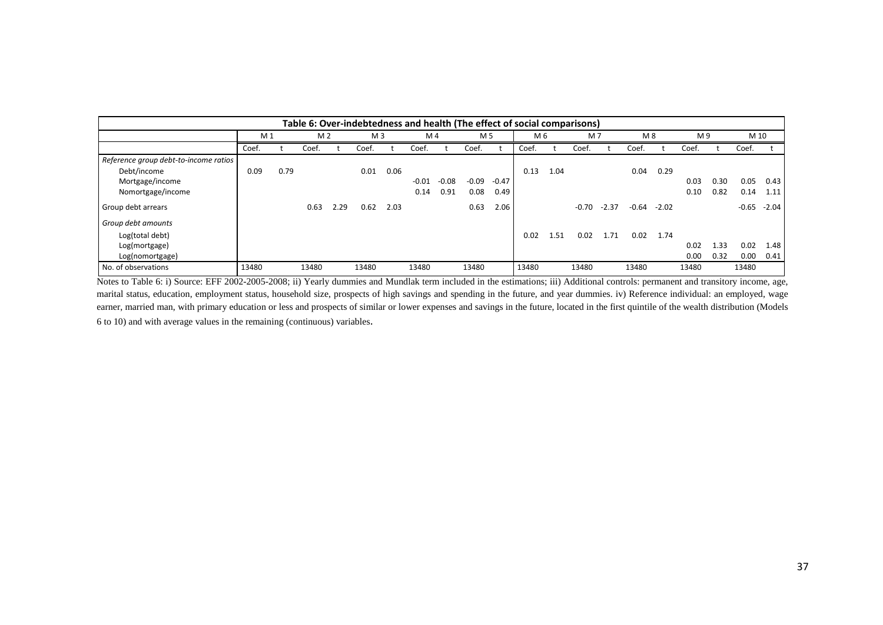|                                       | Table 6: Over-indebtedness and health (The effect of social comparisons) |      |                |      |                |      |                |         |         |         |       |      |         |         |         |         |       |      |         |         |
|---------------------------------------|--------------------------------------------------------------------------|------|----------------|------|----------------|------|----------------|---------|---------|---------|-------|------|---------|---------|---------|---------|-------|------|---------|---------|
|                                       | M <sub>1</sub>                                                           |      | M <sub>2</sub> |      | M <sub>3</sub> |      | M <sub>4</sub> |         | M 5     |         | M 6   |      | M7      |         | M8      |         | M 9   |      | M 10    |         |
|                                       | Coef.                                                                    |      | Coef.          |      | Coef.          |      | Coef.          |         | Coef.   |         | Coef. |      | Coef.   |         | Coef.   |         | Coef. |      | Coef.   |         |
| Reference group debt-to-income ratios |                                                                          |      |                |      |                |      |                |         |         |         |       |      |         |         |         |         |       |      |         |         |
| Debt/income                           | 0.09                                                                     | 0.79 |                |      | 0.01           | 0.06 |                |         |         |         | 0.13  | 1.04 |         |         | 0.04    | 0.29    |       |      |         |         |
| Mortgage/income                       |                                                                          |      |                |      |                |      | $-0.01$        | $-0.08$ | $-0.09$ | $-0.47$ |       |      |         |         |         |         | 0.03  | 0.30 | 0.05    | 0.43    |
| Nomortgage/income                     |                                                                          |      |                |      |                |      | 0.14           | 0.91    | 0.08    | 0.49    |       |      |         |         |         |         | 0.10  | 0.82 | 0.14    | 1.11    |
| Group debt arrears                    |                                                                          |      | 0.63           | 2.29 | 0.62           | 2.03 |                |         | 0.63    | 2.06    |       |      | $-0.70$ | $-2.37$ | $-0.64$ | $-2.02$ |       |      | $-0.65$ | $-2.04$ |
| Group debt amounts                    |                                                                          |      |                |      |                |      |                |         |         |         |       |      |         |         |         |         |       |      |         |         |
| Log(total debt)                       |                                                                          |      |                |      |                |      |                |         |         |         | 0.02  | 1.51 | 0.02    | 1.71    | 0.02    | 1.74    |       |      |         |         |
| Log(mortgage)                         |                                                                          |      |                |      |                |      |                |         |         |         |       |      |         |         |         |         | 0.02  | 1.33 | 0.02    | 1.48    |
| Log(nomortgage)                       |                                                                          |      |                |      |                |      |                |         |         |         |       |      |         |         |         |         | 0.00  | 0.32 | 0.00    | 0.41    |
| No. of observations                   | 13480                                                                    |      | 13480          |      | 13480          |      | 13480          |         | 13480   |         | 13480 |      | 13480   |         | 13480   |         | 13480 |      | 13480   |         |

Notes to Table 6: i) Source: EFF 2002-2005-2008; ii) Yearly dummies and Mundlak term included in the estimations; iii) Additional controls: permanent and transitory income, age, marital status, education, employment status, household size, prospects of high savings and spending in the future, and year dummies. iv) Reference individual: an employed, wage earner, married man, with primary education or less and prospects of similar or lower expenses and savings in the future, located in the first quintile of the wealth distribution (Models 6 to 10) and with average values in the remaining (continuous) variables.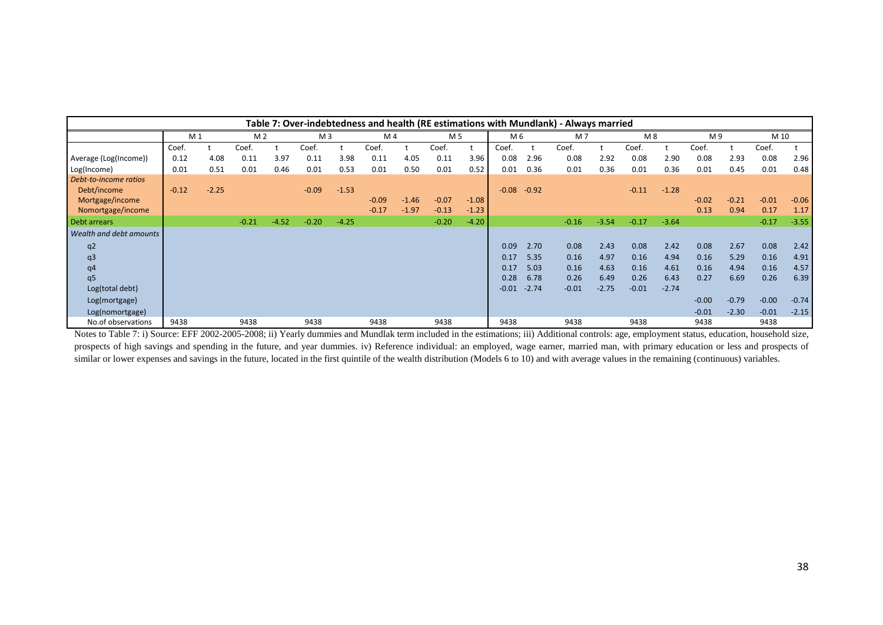|                         | Table 7: Over-indebtedness and health (RE estimations with Mundlank) - Always married |         |         |         |                |         |         |         |         |         |         |         |         |         |         |         |         |         |         |         |
|-------------------------|---------------------------------------------------------------------------------------|---------|---------|---------|----------------|---------|---------|---------|---------|---------|---------|---------|---------|---------|---------|---------|---------|---------|---------|---------|
|                         | M <sub>1</sub>                                                                        |         | M 2     |         | M <sub>3</sub> |         | M 4     |         | M 5     |         | M 6     |         | M 7     |         | M 8     |         | M 9     |         | M 10    |         |
|                         | Coef.                                                                                 |         | Coef.   |         | Coef.          |         | Coef.   |         | Coef.   |         | Coef.   |         | Coef.   |         | Coef.   |         | Coef.   |         | Coef.   |         |
| Average (Log(Income))   | 0.12                                                                                  | 4.08    | 0.11    | 3.97    | 0.11           | 3.98    | 0.11    | 4.05    | 0.11    | 3.96    | 0.08    | 2.96    | 0.08    | 2.92    | 0.08    | 2.90    | 0.08    | 2.93    | 0.08    | 2.96    |
| Log(Income)             | 0.01                                                                                  | 0.51    | 0.01    | 0.46    | 0.01           | 0.53    | 0.01    | 0.50    | 0.01    | 0.52    | 0.01    | 0.36    | 0.01    | 0.36    | 0.01    | 0.36    | 0.01    | 0.45    | 0.01    | 0.48    |
| Debt-to-income ratios   |                                                                                       |         |         |         |                |         |         |         |         |         |         |         |         |         |         |         |         |         |         |         |
| Debt/income             | $-0.12$                                                                               | $-2.25$ |         |         | $-0.09$        | $-1.53$ |         |         |         |         | $-0.08$ | $-0.92$ |         |         | $-0.11$ | $-1.28$ |         |         |         |         |
| Mortgage/income         |                                                                                       |         |         |         |                |         | $-0.09$ | $-1.46$ | $-0.07$ | $-1.08$ |         |         |         |         |         |         | $-0.02$ | $-0.21$ | $-0.01$ | $-0.06$ |
| Nomortgage/income       |                                                                                       |         |         |         |                |         | $-0.17$ | $-1.97$ | $-0.13$ | $-1.23$ |         |         |         |         |         |         | 0.13    | 0.94    | 0.17    | 1.17    |
| Debt arrears            |                                                                                       |         | $-0.21$ | $-4.52$ | $-0.20$        | $-4.25$ |         |         | $-0.20$ | $-4.20$ |         |         | $-0.16$ | $-3.54$ | $-0.17$ | $-3.64$ |         |         | $-0.17$ | $-3.55$ |
| Wealth and debt amounts |                                                                                       |         |         |         |                |         |         |         |         |         |         |         |         |         |         |         |         |         |         |         |
| q <sub>2</sub>          |                                                                                       |         |         |         |                |         |         |         |         |         | 0.09    | 2.70    | 0.08    | 2.43    | 0.08    | 2.42    | 0.08    | 2.67    | 0.08    | 2.42    |
| q <sub>3</sub>          |                                                                                       |         |         |         |                |         |         |         |         |         | 0.17    | 5.35    | 0.16    | 4.97    | 0.16    | 4.94    | 0.16    | 5.29    | 0.16    | 4.91    |
| q4                      |                                                                                       |         |         |         |                |         |         |         |         |         | 0.17    | 5.03    | 0.16    | 4.63    | 0.16    | 4.61    | 0.16    | 4.94    | 0.16    | 4.57    |
| q5                      |                                                                                       |         |         |         |                |         |         |         |         |         | 0.28    | 6.78    | 0.26    | 6.49    | 0.26    | 6.43    | 0.27    | 6.69    | 0.26    | 6.39    |
| Log(total debt)         |                                                                                       |         |         |         |                |         |         |         |         |         | $-0.01$ | $-2.74$ | $-0.01$ | $-2.75$ | $-0.01$ | $-2.74$ |         |         |         |         |
| Log(mortgage)           |                                                                                       |         |         |         |                |         |         |         |         |         |         |         |         |         |         |         | $-0.00$ | $-0.79$ | $-0.00$ | $-0.74$ |
| Log(nomortgage)         |                                                                                       |         |         |         |                |         |         |         |         |         |         |         |         |         |         |         | $-0.01$ | $-2.30$ | $-0.01$ | $-2.15$ |
| No.of observations      | 9438                                                                                  |         | 9438    |         | 9438           |         | 9438    |         | 9438    |         | 9438    |         | 9438    |         | 9438    |         | 9438    |         | 9438    |         |

Notes to Table 7: i) Source: EFF 2002-2005-2008; ii) Yearly dummies and Mundlak term included in the estimations; iii) Additional controls: age, employment status, education, household size, prospects of high savings and spending in the future, and year dummies. iv) Reference individual: an employed, wage earner, married man, with primary education or less and prospects of similar or lower expenses and savings in the future, located in the first quintile of the wealth distribution (Models 6 to 10) and with average values in the remaining (continuous) variables.